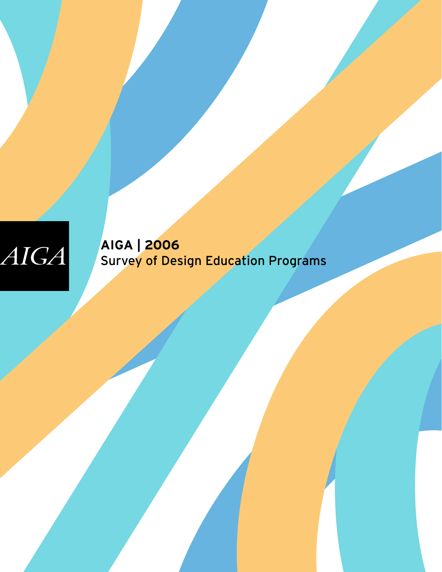## AIGA

**AIGA | 2006**  Survey of Design Education Programs

AIGA | 2006 Survey of Design Education Programs 1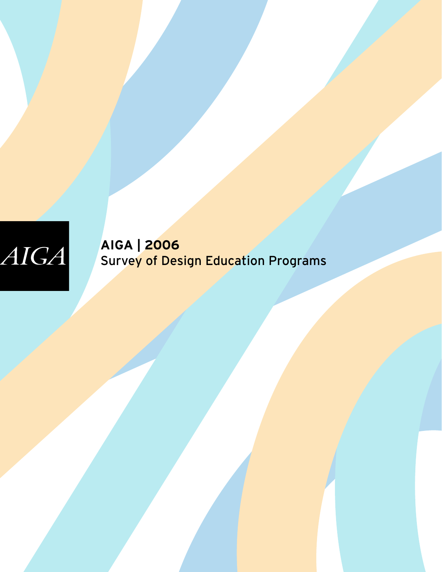# $AIGA$

**AIGA | 2006**  Survey of Design Education Programs

AIGA | 2006 Survey of Design Education Programs 2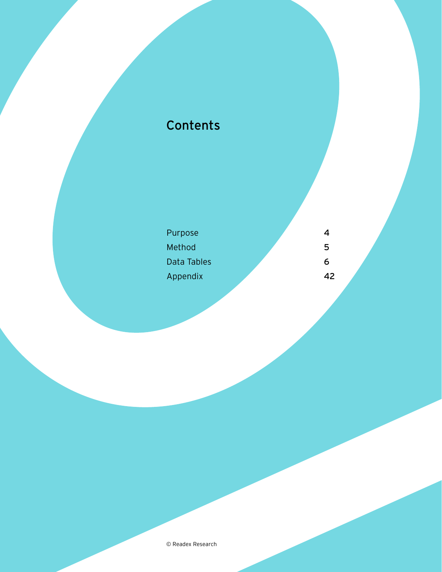## Contents

| Purpose     | 4  |  |
|-------------|----|--|
| Method      | 5  |  |
| Data Tables | 6  |  |
| Appendix    | 42 |  |
|             |    |  |

© Readex Research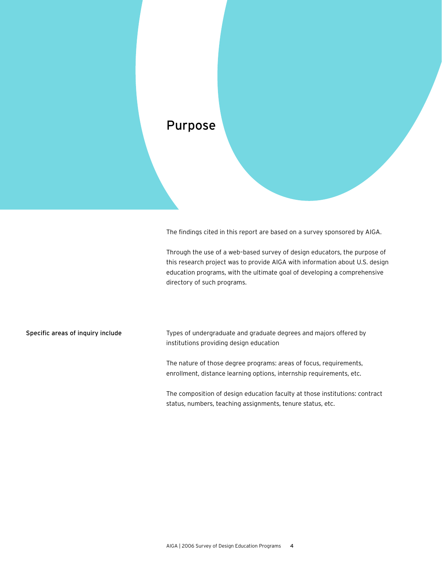

The findings cited in this report are based on a survey sponsored by AIGA.

Through the use of a web–based survey of design educators, the purpose of this research project was to provide AIGA with information about U.S. design education programs, with the ultimate goal of developing a comprehensive directory of such programs.

Specific areas of inquiry include

Types of undergraduate and graduate degrees and majors offered by institutions providing design education

The nature of those degree programs: areas of focus, requirements, enrollment, distance learning options, internship requirements, etc.

The composition of design education faculty at those institutions: contract status, numbers, teaching assignments, tenure status, etc.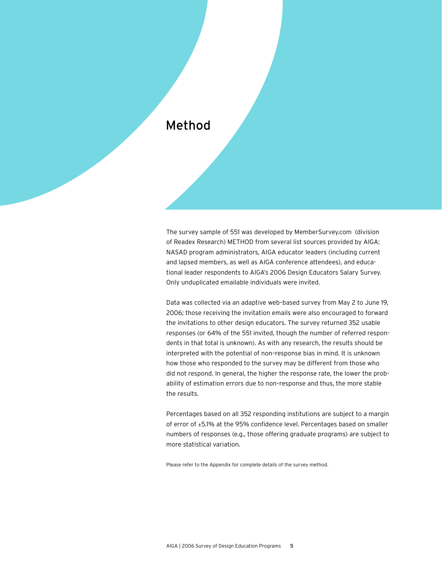#### Method

The survey sample of 551 was developed by MemberSurvey.com (division of Readex Research) METHOD from several list sources provided by AIGA: NASAD program administrators, AIGA educator leaders (including current and lapsed members, as well as AIGA conference attendees), and educational leader respondents to AIGA's 2006 Design Educators Salary Survey. Only unduplicated emailable individuals were invited.

Data was collected via an adaptive web–based survey from May 2 to June 19, 2006; those receiving the invitation emails were also encouraged to forward the invitations to other design educators. The survey returned 352 usable responses (or 64% of the 551 invited, though the number of referred respondents in that total is unknown). As with any research, the results should be interpreted with the potential of non–response bias in mind. It is unknown how those who responded to the survey may be different from those who did not respond. In general, the higher the response rate, the lower the probability of estimation errors due to non–response and thus, the more stable the results.

Percentages based on all 352 responding institutions are subject to a margin of error of ±5.1% at the 95% confidence level. Percentages based on smaller numbers of responses (e.g., those offering graduate programs) are subject to more statistical variation.

Please refer to the Appendix for complete details of the survey method.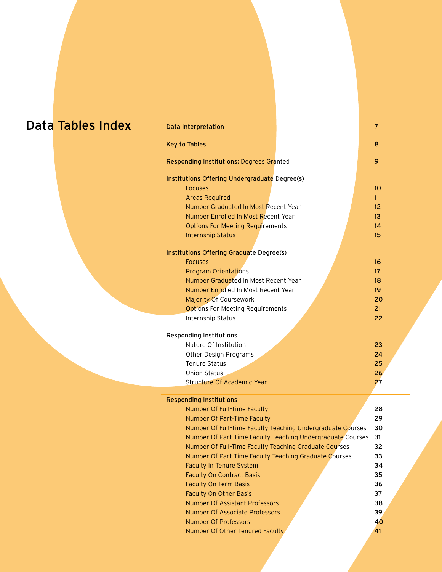## Data Tables Index

| Data Interpretation                                        | 7                |  |  |  |
|------------------------------------------------------------|------------------|--|--|--|
| <b>Key to Tables</b>                                       | 8                |  |  |  |
| Responding Institutions: Degrees Granted                   | 9                |  |  |  |
| Institutions Offering Undergraduate Degree(s)              |                  |  |  |  |
| <b>Focuses</b>                                             | 10 <sup>10</sup> |  |  |  |
| <b>Areas Required</b>                                      | 11               |  |  |  |
| Number Graduated In Most Recent Year                       | 12 <sup>2</sup>  |  |  |  |
| Number Enrolled In Most Recent Year                        | 13               |  |  |  |
| <b>Options For Meeting Requirements</b>                    | 14               |  |  |  |
| <b>Internship Status</b>                                   | 15               |  |  |  |
| Institutions Offering Graduate Degree(s)                   |                  |  |  |  |
| <b>Focuses</b>                                             | 16               |  |  |  |
| <b>Program Orientations</b>                                | 17 <sup>2</sup>  |  |  |  |
| Number Graduated In Most Recent Year                       | 18               |  |  |  |
| Number Enrolled In Most Recent Year                        | 19               |  |  |  |
| <b>Majority Of Coursework</b>                              | 20               |  |  |  |
| <b>Options For Meeting Requirements</b>                    |                  |  |  |  |
| Internship Status                                          | 22               |  |  |  |
|                                                            |                  |  |  |  |
|                                                            |                  |  |  |  |
| <b>Responding Institutions</b><br>Nature Of Institution    |                  |  |  |  |
|                                                            | 23<br>24         |  |  |  |
| Other Design Programs<br><b>Tenure Status</b>              |                  |  |  |  |
| <b>Union Status</b>                                        | 25               |  |  |  |
| Structure Of Academic Year                                 | 26<br>27         |  |  |  |
|                                                            |                  |  |  |  |
| <b>Responding Institutions</b>                             |                  |  |  |  |
| Number Of Full-Time Faculty                                | 28               |  |  |  |
| Number Of Part-Time Faculty                                | 29               |  |  |  |
| Number Of Full-Time Faculty Teaching Undergraduate Courses | 30               |  |  |  |
| Number Of Part-Time Faculty Teaching Undergraduate Courses | 31               |  |  |  |
| Number Of Full-Time Faculty Teaching Graduate Courses      | 32               |  |  |  |
| Number Of Part-Time Faculty Teaching Graduate Courses      | 33               |  |  |  |
| <b>Faculty In Tenure System</b>                            | 34               |  |  |  |
| <b>Faculty On Contract Basis</b>                           | 35               |  |  |  |
| <b>Faculty On Term Basis</b>                               | 36               |  |  |  |
| <b>Faculty On Other Basis</b>                              | 37               |  |  |  |
| <b>Number Of Assistant Professors</b>                      | 38               |  |  |  |
| <b>Number Of Associate Professors</b>                      | 39               |  |  |  |
| Number Of Professors<br>Number Of Other Tenured Faculty    | 40<br>41         |  |  |  |

AIGA | 2006 Survey of Design Education Programs 6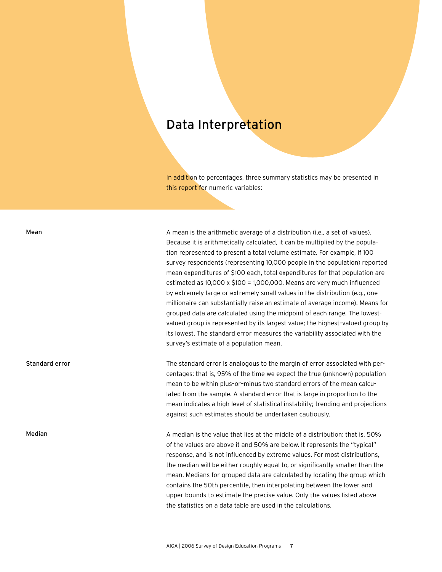#### Data Interpretation

In addition to percentages, three summary statistics may be presented in this report for numeric variables:

#### Mean

Standard error

#### Median

A mean is the arithmetic average of a distribution (i.e., a set of values). Because it is arithmetically calculated, it can be multiplied by the population represented to present a total volume estimate. For example, if 100 survey respondents (representing 10,000 people in the population) reported mean expenditures of \$100 each, total expenditures for that population are estimated as 10,000 x \$100 = 1,000,000. Means are very much influenced by extremely large or extremely small values in the distribution (e.g., one millionaire can substantially raise an estimate of average income). Means for grouped data are calculated using the midpoint of each range. The lowestvalued group is represented by its largest value; the highest–valued group by its lowest. The standard error measures the variability associated with the survey's estimate of a population mean.

The standard error is analogous to the margin of error associated with percentages: that is, 95% of the time we expect the true (unknown) population mean to be within plus–or–minus two standard errors of the mean calculated from the sample. A standard error that is large in proportion to the mean indicates a high level of statistical instability; trending and projections against such estimates should be undertaken cautiously.

A median is the value that lies at the middle of a distribution: that is, 50% of the values are above it and 50% are below. It represents the "typical" response, and is not influenced by extreme values. For most distributions, the median will be either roughly equal to, or significantly smaller than the mean. Medians for grouped data are calculated by locating the group which contains the 50th percentile, then interpolating between the lower and upper bounds to estimate the precise value. Only the values listed above the statistics on a data table are used in the calculations.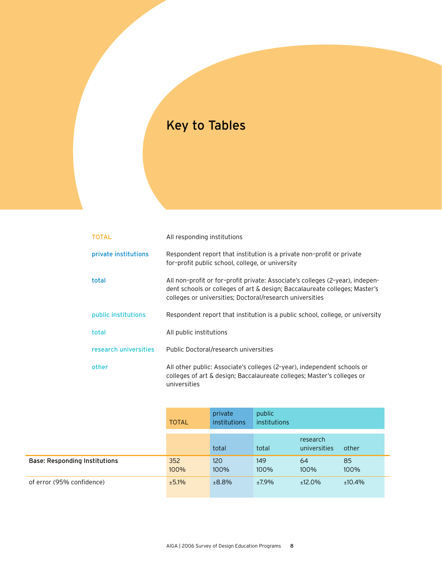## Key to Tables

| <b>TOTAL</b>          | All responding institutions                                                                                                                                                                                             |
|-----------------------|-------------------------------------------------------------------------------------------------------------------------------------------------------------------------------------------------------------------------|
| private institutions  | Respondent report that institution is a private non-profit or private<br>for-profit public school, college, or university                                                                                               |
| total                 | All non-profit or for-profit private: Associate's colleges (2-year), indepen-<br>dent schools or colleges of art & design; Baccalaureate colleges; Master's<br>colleges or universities; Doctoral/research universities |
| public institutions   | Respondent report that institution is a public school, college, or university                                                                                                                                           |
| total                 | All public institutions                                                                                                                                                                                                 |
| research universities | Public Doctoral/research universities                                                                                                                                                                                   |
| other                 | All other public: Associate's colleges (2-year), independent schools or<br>colleges of art & design; Baccalaureate colleges; Master's colleges or<br>universities                                                       |

|                                      | <b>TOTAL</b> | private<br>institutions | public<br>institutions |                          |            |
|--------------------------------------|--------------|-------------------------|------------------------|--------------------------|------------|
|                                      |              | total                   | total                  | research<br>universities | other      |
| <b>Base: Responding Institutions</b> | 352<br>100%  | 120<br>100%             | 149<br>100%            | 64<br>100%               | 85<br>100% |
| of error (95% confidence)            | ±5.1%        | ±8.8%                   | ±7.9%                  | $±12.0\%$                | ±10.4%     |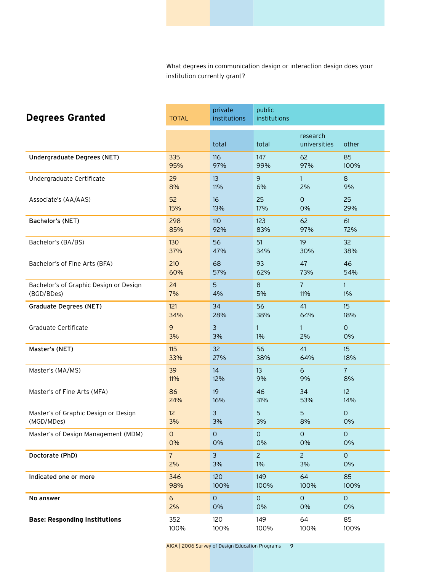What degrees in communication design or interaction design does your institution currently grant?

| <b>Degrees Granted</b>                 | <b>TOTAL</b>   | private<br>institutions | public<br>institutions |                          |                 |
|----------------------------------------|----------------|-------------------------|------------------------|--------------------------|-----------------|
|                                        |                | total                   | total                  | research<br>universities | other           |
| Undergraduate Degrees (NET)            | 335            | 116                     | 147                    | 62                       | 85              |
|                                        | 95%            | 97%                     | 99%                    | 97%                      | 100%            |
| Undergraduate Certificate              | 29             | 13                      | 9                      | $\mathbf{1}$             | 8               |
|                                        | 8%             | 11%                     | 6%                     | 2%                       | 9%              |
| Associate's (AA/AAS)                   | 52             | 16                      | 25                     | $\circ$                  | 25              |
|                                        | 15%            | 13%                     | 17%                    | 0%                       | 29%             |
| Bachelor's (NET)                       | 298            | 110                     | 123                    | 62                       | 61              |
|                                        | 85%            | 92%                     | 83%                    | 97%                      | 72%             |
| Bachelor's (BA/BS)                     | 130            | 56                      | 51                     | 19                       | 32              |
|                                        | 37%            | 47%                     | 34%                    | 30%                      | 38%             |
| Bachelor's of Fine Arts (BFA)          | 210            | 68                      | 93                     | 47                       | 46              |
|                                        | 60%            | 57%                     | 62%                    | 73%                      | 54%             |
| Bachelor's of Graphic Design or Design | 24             | 5                       | 8                      | $\overline{7}$           | $\mathbf{1}$    |
| (BGD/BDes)                             | 7%             | 4%                      | 5%                     | 11%                      | $1\%$           |
| <b>Graduate Degrees (NET)</b>          | 121            | 34                      | 56                     | 41                       | 15              |
|                                        | 34%            | 28%                     | 38%                    | 64%                      | 18%             |
| Graduate Certificate                   | 9              | 3                       | $\mathbf{1}$           | $\mathbf{1}$             | $\Omega$        |
|                                        | 3%             | 3%                      | $1\%$                  | 2%                       | 0%              |
| Master's (NET)                         | 115            | 32                      | 56                     | 41                       | 15              |
|                                        | 33%            | 27%                     | 38%                    | 64%                      | 18%             |
| Master's (MA/MS)                       | 39             | 14                      | 13                     | 6                        | $\overline{7}$  |
|                                        | 11%            | 12%                     | 9%                     | 9%                       | 8%              |
| Master's of Fine Arts (MFA)            | 86             | 19                      | 46                     | 34                       | 12 <sup>2</sup> |
|                                        | 24%            | 16%                     | 31%                    | 53%                      | 14%             |
| Master's of Graphic Design or Design   | 12             | 3                       | 5                      | 5                        | $\circ$         |
| (MGD/MDes)                             | 3%             | 3%                      | 3%                     | 8%                       | 0%              |
| Master's of Design Management (MDM)    | $\circ$        | $\mathsf O$             | $\mathsf{O}\xspace$    | $\mathsf O$              | $\circ$         |
|                                        | 0%             | 0%                      | 0%                     | 0%                       | 0%              |
| Doctorate (PhD)                        | 7 <sup>7</sup> | $\mathbf{3}$            | $\overline{2}$         | $\overline{2}$           | $\circ$         |
|                                        | 2%             | 3%                      | 1%                     | 3%                       | 0%              |
| Indicated one or more                  | 346            | 120                     | 149                    | 64                       | 85              |
|                                        | 98%            | 100%                    | 100%                   | 100%                     | 100%            |
| No answer                              | 6              | $\mathsf O$             | $\mathsf O$            | $\circ$                  | $\mathsf O$     |
|                                        | 2%             | 0%                      | 0%                     | 0%                       | 0%              |
| <b>Base: Responding Institutions</b>   | 352            | 120                     | 149                    | 64                       | 85              |
|                                        | 100%           | 100%                    | 100%                   | 100%                     | 100%            |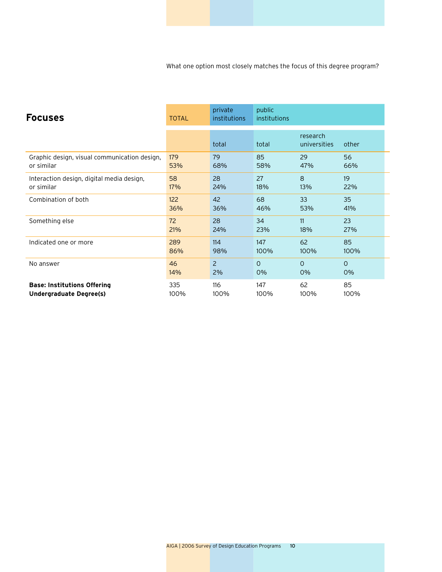What one option most closely matches the focus of this degree program?

| <b>Focuses</b>                               | <b>TOTAL</b> | private<br>institutions | public<br>institutions |                          |          |
|----------------------------------------------|--------------|-------------------------|------------------------|--------------------------|----------|
|                                              |              | total                   | total                  | research<br>universities | other    |
| Graphic design, visual communication design, | 179          | 79                      | 85                     | 29                       | 56       |
| or similar                                   | 53%          | 68%                     | 58%                    | 47%                      | 66%      |
| Interaction design, digital media design,    | 58           | 28                      | 27                     | 8                        | 19       |
| or similar                                   | 17%          | 24%                     | 18%                    | 13%                      | 22%      |
| Combination of both                          | 122          | 42                      | 68                     | 33                       | 35       |
|                                              | 36%          | 36%                     | 46%                    | 53%                      | 41%      |
| Something else                               | 72           | 28                      | 34                     | 11                       | 23       |
|                                              | 21%          | 24%                     | 23%                    | 18%                      | 27%      |
| Indicated one or more                        | 289          | 114                     | 147                    | 62                       | 85       |
|                                              | 86%          | 98%                     | 100%                   | 100%                     | 100%     |
| No answer                                    | 46           | $\overline{2}$          | $\Omega$               | $\Omega$                 | $\Omega$ |
|                                              | 14%          | 2%                      | 0%                     | 0%                       | 0%       |
| <b>Base: Institutions Offering</b>           | 335          | 116                     | 147                    | 62                       | 85       |
| <b>Undergraduate Degree(s)</b>               | 100%         | 100%                    | 100%                   | 100%                     | 100%     |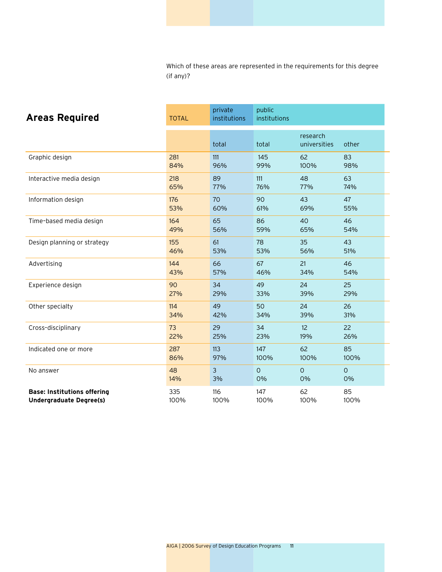Which of these areas are represented in the requirements for this degree (if any)?

| <b>Areas Required</b>              | <b>TOTAL</b> | private<br>institutions | public<br>institutions |                          |         |
|------------------------------------|--------------|-------------------------|------------------------|--------------------------|---------|
|                                    |              | total                   | total                  | research<br>universities | other   |
| Graphic design                     | 281          | 111                     | 145                    | 62                       | 83      |
|                                    | 84%          | 96%                     | 99%                    | 100%                     | 98%     |
| Interactive media design           | 218          | 89                      | 111                    | 48                       | 63      |
|                                    | 65%          | 77%                     | 76%                    | 77%                      | 74%     |
| Information design                 | 176          | 70                      | 90                     | 43                       | 47      |
|                                    | 53%          | 60%                     | 61%                    | 69%                      | 55%     |
| Time-based media design            | 164          | 65                      | 86                     | 40                       | 46      |
|                                    | 49%          | 56%                     | 59%                    | 65%                      | 54%     |
| Design planning or strategy        | 155          | 61                      | 78                     | 35                       | 43      |
|                                    | 46%          | 53%                     | 53%                    | 56%                      | 51%     |
| Advertising                        | 144          | 66                      | 67                     | 21                       | 46      |
|                                    | 43%          | 57%                     | 46%                    | 34%                      | 54%     |
| Experience design                  | 90           | 34                      | 49                     | 24                       | 25      |
|                                    | 27%          | 29%                     | 33%                    | 39%                      | 29%     |
| Other specialty                    | 114          | 49                      | 50                     | 24                       | 26      |
|                                    | 34%          | 42%                     | 34%                    | 39%                      | 31%     |
| Cross-disciplinary                 | 73           | 29                      | 34                     | 12                       | 22      |
|                                    | 22%          | 25%                     | 23%                    | 19%                      | 26%     |
| Indicated one or more              | 287          | 113                     | 147                    | 62                       | 85      |
|                                    | 86%          | 97%                     | 100%                   | 100%                     | 100%    |
| No answer                          | 48           | $\overline{3}$          | $\circ$                | $\circ$                  | $\circ$ |
|                                    | 14%          | 3%                      | 0%                     | 0%                       | 0%      |
| <b>Base: Institutions offering</b> | 335          | 116                     | 147                    | 62                       | 85      |
| <b>Undergraduate Degree(s)</b>     | 100%         | 100%                    | 100%                   | 100%                     | 100%    |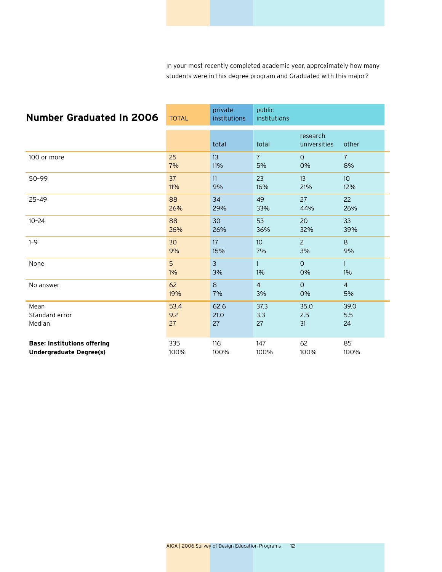In your most recently completed academic year, approximately how many students were in this degree program and Graduated with this major?

| <b>Number Graduated In 2006</b>    | <b>TOTAL</b> | private<br>institutions | public<br>institutions |                          |                 |
|------------------------------------|--------------|-------------------------|------------------------|--------------------------|-----------------|
|                                    |              | total                   | total                  | research<br>universities | other           |
| 100 or more                        | 25           | 13                      | $\overline{7}$         | $\mathsf{O}$             | $\overline{7}$  |
|                                    | 7%           | 11%                     | 5%                     | 0%                       | 8%              |
| 50-99                              | 37           | 11                      | 23                     | 13                       | 10 <sup>°</sup> |
|                                    | 11%          | 9%                      | 16%                    | 21%                      | 12%             |
| $25 - 49$                          | 88           | 34                      | 49                     | 27                       | 22              |
|                                    | 26%          | 29%                     | 33%                    | 44%                      | 26%             |
| $10 - 24$                          | 88           | 30                      | 53                     | 20                       | 33              |
|                                    | 26%          | 26%                     | 36%                    | 32%                      | 39%             |
| $1 - 9$                            | 30           | 17                      | 10                     | $\overline{c}$           | 8               |
|                                    | 9%           | 15%                     | 7%                     | 3%                       | 9%              |
| None                               | 5            | $\overline{3}$          | $\mathbf{1}$           | $\Omega$                 | $\mathbf{1}$    |
|                                    | $1\%$        | 3%                      | $1\%$                  | 0%                       | 1%              |
| No answer                          | 62           | 8                       | $\overline{4}$         | $\Omega$                 | $\overline{4}$  |
|                                    | 19%          | 7%                      | 3%                     | 0%                       | 5%              |
| Mean                               | 53.4         | 62.6                    | 37.3                   | 35.0                     | 39.0            |
| Standard error                     | 9.2          | 21.0                    | 3.3                    | 2.5                      | 5.5             |
| Median                             | 27           | 27                      | 27                     | 31                       | 24              |
| <b>Base: Institutions offering</b> | 335          | 116                     | 147                    | 62                       | 85              |
| <b>Undergraduate Degree(s)</b>     | 100%         | 100%                    | 100%                   | 100%                     | 100%            |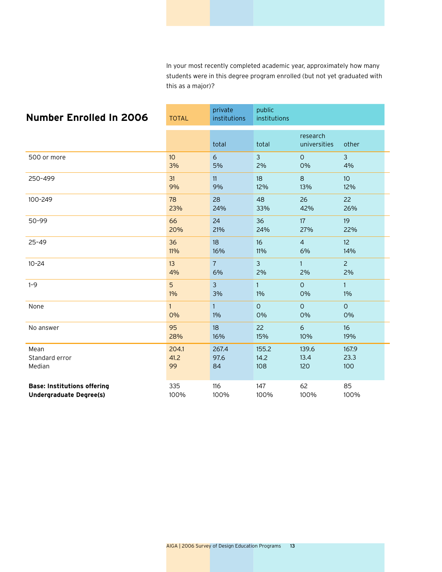In your most recently completed academic year, approximately how many students were in this degree program enrolled (but not yet graduated with this as a major)?

| <b>Number Enrolled In 2006</b>     | <b>TOTAL</b> | private<br>institutions | public<br>institutions |                          |                 |
|------------------------------------|--------------|-------------------------|------------------------|--------------------------|-----------------|
|                                    |              | total                   | total                  | research<br>universities | other           |
| 500 or more                        | 10           | 6                       | $\mathbf{3}$           | $\circ$                  | $\mathbf{3}$    |
|                                    | 3%           | 5%                      | 2%                     | 0%                       | 4%              |
| 250-499                            | 31           | 11                      | 18                     | $\mathbf{8}$             | 10 <sup>°</sup> |
|                                    | 9%           | 9%                      | 12%                    | 13%                      | 12%             |
| 100-249                            | 78           | 28                      | 48                     | 26                       | 22              |
|                                    | 23%          | 24%                     | 33%                    | 42%                      | 26%             |
| 50-99                              | 66           | 24                      | 36                     | 17                       | 19              |
|                                    | 20%          | 21%                     | 24%                    | 27%                      | 22%             |
| $25 - 49$                          | 36           | 18                      | 16                     | $\overline{4}$           | 12              |
|                                    | 11%          | 16%                     | 11%                    | 6%                       | 14%             |
| $10 - 24$                          | 13           | $\overline{7}$          | 3                      | $\mathbf{1}$             | $\overline{2}$  |
|                                    | 4%           | 6%                      | 2%                     | 2%                       | 2%              |
| $1 - 9$                            | 5            | $\overline{3}$          | $\mathbf{1}$           | $\overline{O}$           | $\mathbf{1}$    |
|                                    | $1\%$        | 3%                      | $1\%$                  | 0%                       | 1%              |
| None                               | 1            | $\mathbf{1}$            | $\circ$                | $\circ$                  | $\circ$         |
|                                    | 0%           | 1%                      | 0%                     | 0%                       | 0%              |
| No answer                          | 95           | 18                      | 22                     | 6                        | 16              |
|                                    | 28%          | 16%                     | 15%                    | 10%                      | 19%             |
| Mean                               | 204.1        | 267.4                   | 155.2                  | 139.6                    | 167.9           |
| Standard error                     | 41.2         | 97.6                    | 14.2                   | 13.4                     | 23.3            |
| Median                             | 99           | 84                      | 108                    | 120                      | 100             |
| <b>Base: Institutions offering</b> | 335          | 116                     | 147                    | 62                       | 85              |
| <b>Undergraduate Degree(s)</b>     | 100%         | 100%                    | 100%                   | 100%                     | 100%            |

AIGA | 2006 Survey of Design Education Programs 13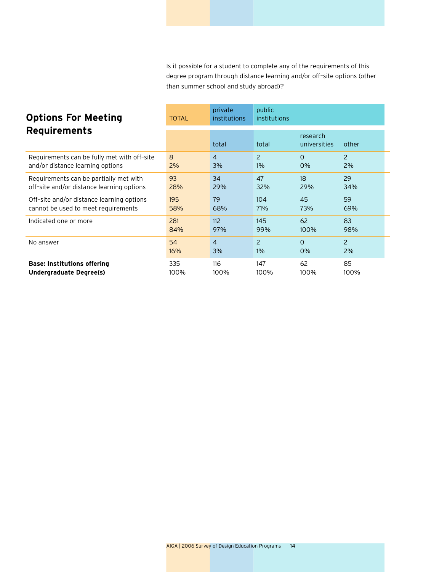Is it possible for a student to complete any of the requirements of this degree program through distance learning and/or off–site options (other than summer school and study abroad)?

| <b>Options For Meeting</b><br><b>Requirements</b> | <b>TOTAL</b> | private<br>institutions | public<br>institutions |                          |                |
|---------------------------------------------------|--------------|-------------------------|------------------------|--------------------------|----------------|
|                                                   |              | total                   | total                  | research<br>universities | other          |
| Requirements can be fully met with off-site       | 8            | $\overline{4}$          | $\overline{2}$         | $\Omega$                 | $\overline{2}$ |
| and/or distance learning options                  | 2%           | 3%                      | 1%                     | 0%                       | 2%             |
| Requirements can be partially met with            | 93           | 34                      | 47                     | 18                       | 29             |
| off-site and/or distance learning options         | 28%          | 29%                     | 32%                    | 29%                      | 34%            |
| Off-site and/or distance learning options         | 195          | 79                      | 104                    | 45                       | 59             |
| cannot be used to meet requirements               | 58%          | 68%                     | 71%                    | 73%                      | 69%            |
| Indicated one or more                             | 281          | 112                     | 145                    | 62                       | 83             |
|                                                   | 84%          | 97%                     | 99%                    | 100%                     | 98%            |
| No answer                                         | 54           | $\overline{4}$          | 2                      | $\Omega$                 | 2              |
|                                                   | 16%          | 3%                      | $1\%$                  | 0%                       | 2%             |
| <b>Base: Institutions offering</b>                | 335          | 116                     | 147                    | 62                       | 85             |
| Undergraduate Degree(s)                           | 100%         | 100%                    | 100%                   | 100%                     | 100%           |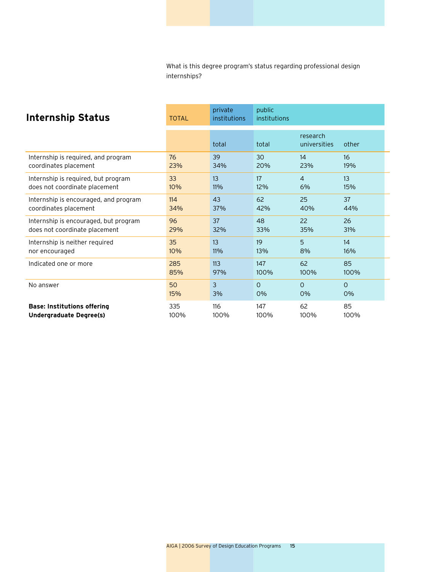What is this degree program's status regarding professional design internships?

| <b>Internship Status</b>              | <b>TOTAL</b> | private<br>institutions | public<br>institutions |                          |          |
|---------------------------------------|--------------|-------------------------|------------------------|--------------------------|----------|
|                                       |              | total                   | total                  | research<br>universities | other    |
| Internship is required, and program   | 76           | 39                      | 30                     | 14                       | 16       |
| coordinates placement                 | 23%          | 34%                     | 20%                    | 23%                      | 19%      |
| Internship is required, but program   | 33           | 13                      | 17                     | $\overline{4}$           | 13       |
| does not coordinate placement         | 10%          | $11\%$                  | 12%                    | 6%                       | 15%      |
| Internship is encouraged, and program | 114          | 43                      | 62                     | 25                       | 37       |
| coordinates placement                 | 34%          | 37%                     | 42%                    | 40%                      | 44%      |
| Internship is encouraged, but program | 96           | 37                      | 48                     | 22                       | 26       |
| does not coordinate placement         | 29%          | 32%                     | 33%                    | 35%                      | 31%      |
| Internship is neither required        | 35           | 13                      | 19                     | 5                        | 14       |
| nor encouraged                        | 10%          | 11%                     | 13%                    | 8%                       | 16%      |
| Indicated one or more                 | 285          | 113                     | 147                    | 62                       | 85       |
|                                       | 85%          | 97%                     | 100%                   | 100%                     | 100%     |
| No answer                             | 50           | 3                       | $\Omega$               | $\Omega$                 | $\Omega$ |
|                                       | 15%          | 3%                      | 0%                     | 0%                       | 0%       |
| <b>Base: Institutions offering</b>    | 335          | 116                     | 147                    | 62                       | 85       |
| Undergraduate Degree(s)               | 100%         | 100%                    | 100%                   | 100%                     | 100%     |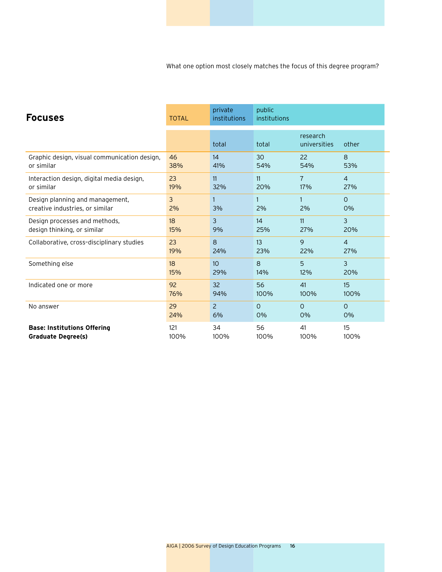What one option most closely matches the focus of this degree program?

| <b>Focuses</b>                               | <b>TOTAL</b> | private<br>institutions | public<br>institutions |                          |                |
|----------------------------------------------|--------------|-------------------------|------------------------|--------------------------|----------------|
|                                              |              | total                   | total                  | research<br>universities | other          |
| Graphic design, visual communication design, | 46           | 14                      | 30                     | 22                       | 8              |
| or similar                                   | 38%          | 41%                     | 54%                    | 54%                      | 53%            |
| Interaction design, digital media design,    | 23           | 11                      | 11                     | 7                        | $\overline{4}$ |
| or similar                                   | 19%          | 32%                     | 20%                    | 17%                      | 27%            |
| Design planning and management,              | 3            | 3%                      | $\mathbf{1}$           | $\mathbf{1}$             | $\Omega$       |
| creative industries, or similar              | 2%           |                         | 2%                     | 2%                       | 0%             |
| Design processes and methods,                | 18           | 3                       | 14                     | 11                       | $\overline{3}$ |
| design thinking, or similar                  | 15%          | 9%                      | 25%                    | 27%                      | 20%            |
| Collaborative, cross-disciplinary studies    | 23           | 8                       | 13                     | 9                        | $\overline{4}$ |
|                                              | 19%          | 24%                     | 23%                    | 22%                      | 27%            |
| Something else                               | 18           | 10                      | 8                      | 5                        | 3              |
|                                              | 15%          | 29%                     | 14%                    | 12%                      | 20%            |
| Indicated one or more                        | 92           | 32                      | 56                     | 41                       | 15             |
|                                              | 76%          | 94%                     | 100%                   | 100%                     | 100%           |
| No answer                                    | 29           | $\overline{2}$          | $\Omega$               | $\Omega$                 | $\Omega$       |
|                                              | 24%          | 6%                      | 0%                     | 0%                       | 0%             |
| <b>Base: Institutions Offering</b>           | 121          | 34                      | 56                     | 41                       | 15             |
| <b>Graduate Degree(s)</b>                    | 100%         | 100%                    | 100%                   | 100%                     | 100%           |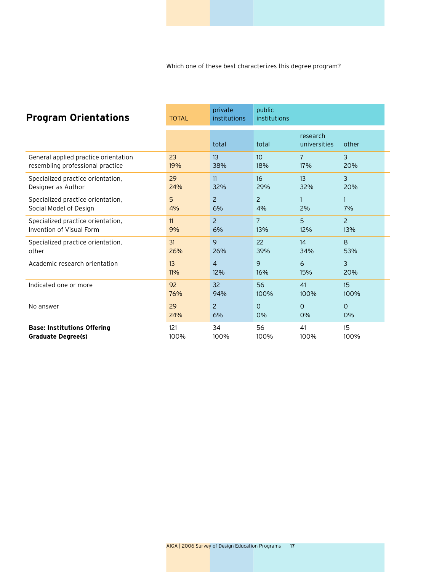Which one of these best characterizes this degree program?

| <b>Program Orientations</b>          | <b>TOTAL</b> | private<br>institutions | public<br>institutions |                          |                |
|--------------------------------------|--------------|-------------------------|------------------------|--------------------------|----------------|
|                                      |              | total                   | total                  | research<br>universities | other          |
| General applied practice orientation | 23           | 13                      | 10 <sup>1</sup>        | $\overline{7}$           | 3              |
| resembling professional practice     | 19%          | 38%                     | 18%                    | 17%                      | 20%            |
| Specialized practice orientation,    | 29           | 11                      | 16                     | 13                       | 3              |
| Designer as Author                   | 24%          | 32%                     | 29%                    | 32%                      | 20%            |
| Specialized practice orientation,    | 5            | $\overline{2}$          | $\overline{2}$         | 1                        | 7%             |
| Social Model of Design               | 4%           | 6%                      | 4%                     | 2%                       |                |
| Specialized practice orientation,    | 11           | $\overline{2}$          | $\overline{7}$         | 5                        | $\overline{2}$ |
| Invention of Visual Form             | 9%           | 6%                      | 13%                    | 12%                      | 13%            |
| Specialized practice orientation,    | 31           | 9                       | 22                     | 14                       | 8              |
| other                                | 26%          | 26%                     | 39%                    | 34%                      | 53%            |
| Academic research orientation        | 13           | $\overline{4}$          | 9                      | 6                        | 3              |
|                                      | 11%          | 12%                     | 16%                    | 15%                      | 20%            |
| Indicated one or more                | 92           | 32                      | 56                     | 41                       | 15             |
|                                      | 76%          | 94%                     | 100%                   | 100%                     | 100%           |
| No answer                            | 29           | $\overline{2}$          | $\Omega$               | $\Omega$                 | $\Omega$       |
|                                      | 24%          | 6%                      | 0%                     | 0%                       | 0%             |
| <b>Base: Institutions Offering</b>   | 121          | 34                      | 56                     | 41                       | 15             |
| <b>Graduate Degree(s)</b>            | 100%         | 100%                    | 100%                   | 100%                     | 100%           |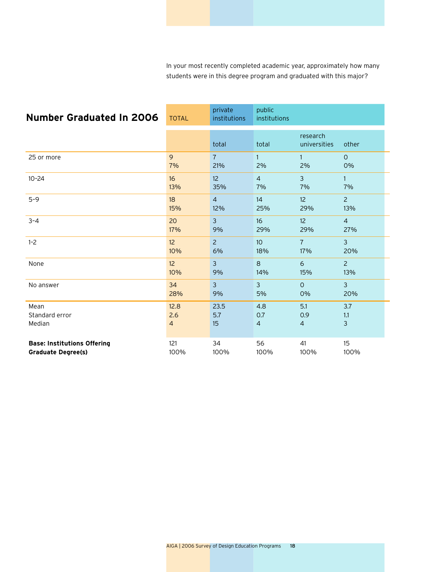In your most recently completed academic year, approximately how many students were in this degree program and graduated with this major?

| <b>Number Graduated In 2006</b>    | <b>TOTAL</b>    | private<br>institutions | public<br>institutions |                          |                |
|------------------------------------|-----------------|-------------------------|------------------------|--------------------------|----------------|
|                                    |                 | total                   | total                  | research<br>universities | other          |
| 25 or more                         | 9               | $\overline{7}$          | $\mathbf{1}$           | $\mathbf{1}$             | $\mathsf{O}$   |
|                                    | 7%              | 21%                     | 2%                     | 2%                       | 0%             |
| $10 - 24$                          | 16              | 12                      | $\overline{4}$         | $\overline{3}$           | $\mathbf{1}$   |
|                                    | 13%             | 35%                     | 7%                     | 7%                       | 7%             |
| $5 - 9$                            | 18              | $\overline{4}$          | 14                     | 12                       | $\overline{2}$ |
|                                    | 15%             | 12%                     | 25%                    | 29%                      | 13%            |
| $3 - 4$                            | 20              | $\overline{3}$          | 16                     | 12                       | $\overline{4}$ |
|                                    | 17%             | 9%                      | 29%                    | 29%                      | 27%            |
| $1 - 2$                            | 12 <sup>°</sup> | $\overline{2}$          | 10 <sup>°</sup>        | $\overline{7}$           | $\overline{3}$ |
|                                    | 10%             | 6%                      | 18%                    | 17%                      | 20%            |
| None                               | 12 <sup>2</sup> | 3                       | 8                      | 6                        | $\overline{2}$ |
|                                    | 10%             | 9%                      | 14%                    | 15%                      | 13%            |
| No answer                          | 34              | $\overline{3}$          | $\overline{3}$         | $\Omega$                 | $\overline{3}$ |
|                                    | 28%             | 9%                      | 5%                     | 0%                       | 20%            |
| Mean                               | 12.8            | 23.5                    | 4.8                    | 5.1                      | 3.7            |
| Standard error                     | 2.6             | 5.7                     | 0.7                    | 0.9                      | 1.1            |
| Median                             | 4               | 15                      | $\overline{4}$         | $\overline{4}$           | 3              |
| <b>Base: Institutions Offering</b> | 121             | 34                      | 56                     | 41                       | 15             |
| <b>Graduate Degree(s)</b>          | 100%            | 100%                    | 100%                   | 100%                     | 100%           |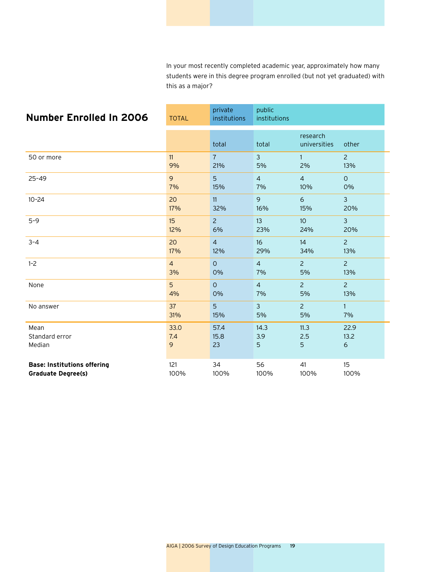In your most recently completed academic year, approximately how many students were in this degree program enrolled (but not yet graduated) with this as a major?

| <b>Number Enrolled In 2006</b>     | <b>TOTAL</b>   | private<br>institutions | public<br>institutions |                          |                |
|------------------------------------|----------------|-------------------------|------------------------|--------------------------|----------------|
|                                    |                | total                   | total                  | research<br>universities | other          |
| 50 or more                         | 11             | $\overline{7}$          | 3                      | $\mathbf{1}$             | $\overline{2}$ |
|                                    | 9%             | 21%                     | 5%                     | 2%                       | 13%            |
| $25 - 49$                          | 9              | 5                       | $\overline{4}$         | $\overline{4}$           | $\Omega$       |
|                                    | 7%             | 15%                     | 7%                     | 10%                      | 0%             |
| $10 - 24$                          | 20             | 11                      | 9                      | $\epsilon$               | $\overline{3}$ |
|                                    | 17%            | 32%                     | 16%                    | 15%                      | 20%            |
| $5 - 9$                            | 15             | $\overline{2}$          | 13                     | 10 <sup>10</sup>         | $\overline{3}$ |
|                                    | 12%            | 6%                      | 23%                    | 24%                      | 20%            |
| $3 - 4$                            | 20             | $\overline{4}$          | 16                     | 14                       | $\overline{2}$ |
|                                    | 17%            | 12%                     | 29%                    | 34%                      | 13%            |
| $1 - 2$                            | $\overline{4}$ | $\Omega$                | $\overline{4}$         | $\overline{2}$           | $\overline{2}$ |
|                                    | 3%             | $0\%$                   | 7%                     | 5%                       | 13%            |
| None                               | 5              | $\overline{O}$          | $\overline{4}$         | $\overline{2}$           | $\overline{2}$ |
|                                    | 4%             | 0%                      | 7%                     | 5%                       | 13%            |
| No answer                          | 37             | 5                       | $\mathbf{3}$           | $\overline{2}$           | $\mathbf{1}$   |
|                                    | 31%            | 15%                     | 5%                     | 5%                       | 7%             |
| Mean                               | 33.0           | 57.4                    | 14.3                   | 11.3                     | 22.9           |
| Standard error                     | 7.4            | 15.8                    | 3.9                    | 2.5                      | 13.2           |
| Median                             | 9              | 23                      | 5                      | 5                        | $\epsilon$     |
| <b>Base: Institutions offering</b> | 121            | 34                      | 56                     | 41                       | 15             |
| <b>Graduate Degree(s)</b>          | 100%           | 100%                    | 100%                   | 100%                     | 100%           |

AIGA | 2006 Survey of Design Education Programs 19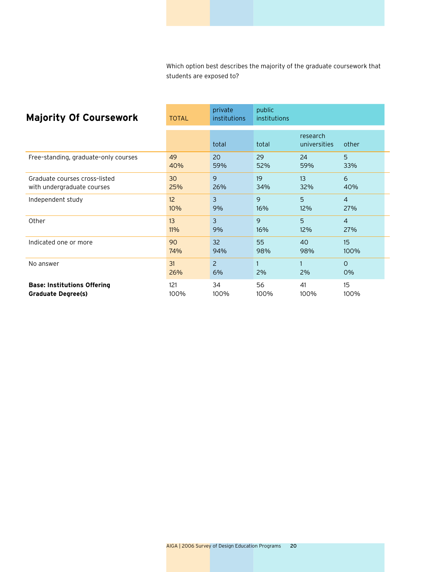Which option best describes the majority of the graduate coursework that students are exposed to?

| <b>Majority Of Coursework</b>        | <b>TOTAL</b>    | private<br>institutions | public<br>institutions |                          |                |
|--------------------------------------|-----------------|-------------------------|------------------------|--------------------------|----------------|
|                                      |                 | total                   | total                  | research<br>universities | other          |
| Free-standing, graduate-only courses | 49              | 20                      | 29                     | 24                       | 5              |
|                                      | 40%             | 59%                     | 52%                    | 59%                      | 33%            |
| Graduate courses cross-listed        | 30              | 9                       | 19                     | 13                       | 6              |
| with undergraduate courses           | 25%             | 26%                     | 34%                    | 32%                      | 40%            |
| Independent study                    | 12 <sup>2</sup> | 3                       | 9                      | 5                        | $\overline{4}$ |
|                                      | 10%             | 9%                      | 16%                    | 12%                      | 27%            |
| Other                                | 13              | 3                       | 9                      | 5                        | $\overline{4}$ |
|                                      | 11%             | 9%                      | 16%                    | 12%                      | 27%            |
| Indicated one or more                | 90              | 32 <sup>2</sup>         | 55                     | 40                       | 15             |
|                                      | 74%             | 94%                     | 98%                    | 98%                      | 100%           |
| No answer                            | 31<br>26%       | 2<br>6%                 | 1<br>2%                | 2%                       | $\Omega$<br>0% |
| <b>Base: Institutions Offering</b>   | 121             | 34                      | 56                     | 41                       | 15             |
| <b>Graduate Degree(s)</b>            | 100%            | 100%                    | 100%                   | 100%                     | 100%           |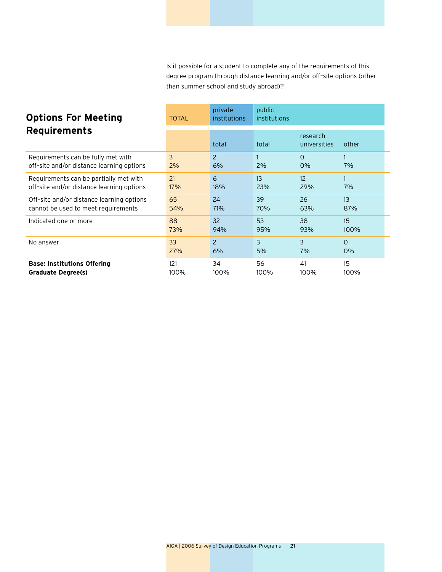Is it possible for a student to complete any of the requirements of this degree program through distance learning and/or off–site options (other than summer school and study abroad)?

| <b>Options For Meeting</b>                | <b>TOTAL</b> | private<br>institutions | public<br>institutions |                          |              |
|-------------------------------------------|--------------|-------------------------|------------------------|--------------------------|--------------|
| <b>Requirements</b>                       |              | total                   | total                  | research<br>universities | other        |
| Requirements can be fully met with        | 3            | $\mathcal{P}$           | $\mathbf{1}$           | $\Omega$                 | $\mathbf{1}$ |
| off-site and/or distance learning options | 2%           | 6%                      | 2%                     | 0%                       | 7%           |
| Requirements can be partially met with    | 21           | 6                       | 13                     | 12                       | $\mathbf{1}$ |
| off-site and/or distance learning options | 17%          | 18%                     | 23%                    | 29%                      | 7%           |
| Off-site and/or distance learning options | 65           | 24                      | 39                     | 26                       | 13           |
| cannot be used to meet requirements       | 54%          | 71%                     | 70%                    | 63%                      | 87%          |
| Indicated one or more                     | 88           | 32                      | 53                     | 38                       | 15           |
|                                           | 73%          | 94%                     | 95%                    | 93%                      | 100%         |
| No answer                                 | 33           | $\overline{c}$          | 3                      | 3                        | $\Omega$     |
|                                           | 27%          | 6%                      | 5%                     | 7%                       | 0%           |
| <b>Base: Institutions Offering</b>        | 121          | 34                      | 56                     | 41                       | 15           |
| <b>Graduate Degree(s)</b>                 | 100%         | 100%                    | 100%                   | 100%                     | 100%         |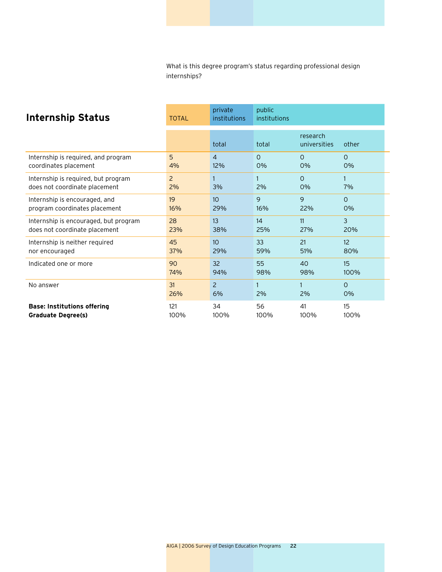What is this degree program's status regarding professional design internships?

| <b>Internship Status</b>                                             | <b>TOTAL</b>         | private<br>institutions | public<br>institutions |                          |                 |
|----------------------------------------------------------------------|----------------------|-------------------------|------------------------|--------------------------|-----------------|
|                                                                      |                      | total                   | total                  | research<br>universities | other           |
| Internship is required, and program                                  | 5                    | $\overline{4}$          | $\Omega$               | $\Omega$                 | $\Omega$        |
| coordinates placement                                                | 4%                   | 12%                     | 0%                     | 0%                       | 0%              |
| Internship is required, but program<br>does not coordinate placement | $\overline{2}$<br>2% | 3%                      | 2%                     | $\Omega$<br>0%           | 1<br>7%         |
| Internship is encouraged, and                                        | 19                   | 10 <sup>10</sup>        | 9                      | 9                        | $\Omega$        |
| program coordinates placement                                        | 16%                  | 29%                     | 16%                    | 22%                      | 0%              |
| Internship is encouraged, but program                                | 28                   | 13 <sup>2</sup>         | 14                     | 11                       | 3               |
| does not coordinate placement                                        | 23%                  | 38%                     | 25%                    | 27%                      | 20%             |
| Internship is neither required                                       | 45                   | 10 <sup>10</sup>        | 33                     | 21                       | 12 <sup>2</sup> |
| nor encouraged                                                       | 37%                  | 29%                     | 59%                    | 51%                      | 80%             |
| Indicated one or more                                                | 90                   | 32                      | 55                     | 40                       | 15              |
|                                                                      | 74%                  | 94%                     | 98%                    | 98%                      | 100%            |
| No answer                                                            | 31                   | $\overline{2}$          | $\mathbf{1}$           | $\mathbf{1}$             | $\Omega$        |
|                                                                      | 26%                  | 6%                      | 2%                     | 2%                       | 0%              |
| <b>Base: Institutions offering</b>                                   | 121                  | 34                      | 56                     | 41                       | 15              |
| <b>Graduate Degree(s)</b>                                            | 100%                 | 100%                    | 100%                   | 100%                     | 100%            |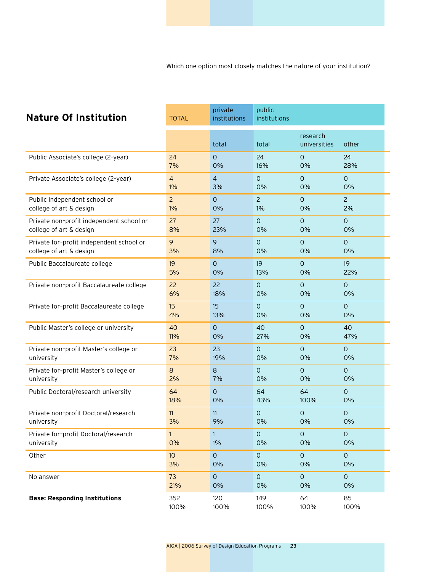Which one option most closely matches the nature of your institution?

| <b>Nature Of Institution</b>             | <b>TOTAL</b>    | private<br>institutions | public<br>institutions |                          |                     |
|------------------------------------------|-----------------|-------------------------|------------------------|--------------------------|---------------------|
|                                          |                 | total                   | total                  | research<br>universities | other               |
| Public Associate's college (2-year)      | 24              | $\overline{O}$          | 24                     | $\circ$                  | 24                  |
|                                          | 7%              | 0%                      | 16%                    | 0%                       | 28%                 |
| Private Associate's college (2-year)     | $\overline{4}$  | $\overline{4}$          | $\Omega$               | $\Omega$                 | $\mathbf{O}$        |
|                                          | $1\%$           | 3%                      | 0%                     | 0%                       | 0%                  |
| Public independent school or             | $\overline{c}$  | $\circ$                 | $\overline{c}$         | $\circ$                  | $\overline{2}$      |
| college of art & design                  | $1\%$           | 0%                      | $1\%$                  | 0%                       | 2%                  |
| Private non-profit independent school or | 27              | 27                      | $\circ$                | $\mathbf{O}$             | $\circ$             |
| college of art & design                  | 8%              | 23%                     | 0%                     | 0%                       | 0%                  |
| Private for-profit independent school or | 9               | 9                       | $\circ$                | $\circ$                  | $\circ$             |
| college of art & design                  | 3%              | 8%                      | 0%                     | 0%                       | 0%                  |
| Public Baccalaureate college             | 19              | $\overline{O}$          | 19                     | $\circ$                  | 19                  |
|                                          | 5%              | 0%                      | 13%                    | 0%                       | 22%                 |
| Private non-profit Baccalaureate college | 22              | 22                      | $\mathbf 0$            | $\mathbf{O}$             | $\mathsf{O}$        |
|                                          | 6%              | 18%                     | 0%                     | 0%                       | 0%                  |
| Private for-profit Baccalaureate college | 15              | 15                      | $\mathsf{O}$           | $\mathbf{O}$             | $\Omega$            |
|                                          | 4%              | 13%                     | 0%                     | 0%                       | 0%                  |
| Public Master's college or university    | 40              | $\Omega$                | 40                     | $\Omega$                 | 40                  |
|                                          | 11%             | 0%                      | 27%                    | 0%                       | 47%                 |
| Private non-profit Master's college or   | 23              | 23                      | $\circ$                | $\mathbf{O}$             | $\circ$             |
| university                               | 7%              | 19%                     | 0%                     | 0%                       | 0%                  |
| Private for-profit Master's college or   | $\,8\,$         | 8                       | $\Omega$               | $\Omega$                 | $\Omega$            |
| university                               | 2%              | 7%                      | 0%                     | 0%                       | 0%                  |
| Public Doctoral/research university      | 64              | $\Omega$                | 64                     | 64                       | $\circ$             |
|                                          | 18%             | 0%                      | 43%                    | 100%                     | 0%                  |
| Private non-profit Doctoral/research     | 11              | 11                      | $\circ$                | $\circ$                  | $\circ$             |
| university                               | 3%              | 9%                      | 0%                     | 0%                       | 0%                  |
| Private for-profit Doctoral/research     | $\mathbf{1}$    | $\mathbf{1}$            | $\mathsf O$            | $\mathsf{O}\xspace$      | $\circ$             |
| university                               | 0%              | $1\%$                   | 0%                     | 0%                       | 0%                  |
| Other                                    | 10 <sup>°</sup> | $\circ$                 | $\mathsf{O}\xspace$    | $\circ$                  | $\mathsf{O}\xspace$ |
|                                          | 3%              | 0%                      | 0%                     | 0%                       | 0%                  |
| No answer                                | 73              | $\mathsf{O}$            | $\mathsf O$            | $\mathsf{O}\xspace$      | $\mathsf O$         |
|                                          | 21%             | 0%                      | 0%                     | 0%                       | 0%                  |
| <b>Base: Responding Institutions</b>     | 352             | 120                     | 149                    | 64                       | 85                  |
|                                          | 100%            | 100%                    | 100%                   | 100%                     | 100%                |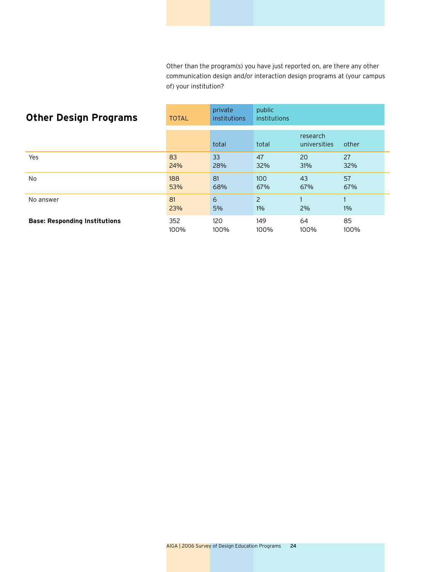Other than the program(s) you have just reported on, are there any other communication design and/or interaction design programs at (your campus of) your institution?

| <b>Other Design Programs</b>         | <b>TOTAL</b> | private<br><i>institutions</i> | public<br>institutions  |                          |       |  |
|--------------------------------------|--------------|--------------------------------|-------------------------|--------------------------|-------|--|
|                                      |              | total                          | total                   | research<br>universities | other |  |
| Yes                                  | 83           | 33                             | 47                      | 20                       | 27    |  |
|                                      | 24%          | 28%                            | 32%                     | 31%                      | 32%   |  |
| No.                                  | 188          | 81                             | 100                     | 43                       | 57    |  |
|                                      | 53%          | 68%                            | 67%                     | 67%                      | 67%   |  |
| No answer                            | 81<br>23%    | 6<br>5%                        | $\overline{2}$<br>$1\%$ | 2%                       | $1\%$ |  |
| <b>Base: Responding Institutions</b> | 352          | 120                            | 149                     | 64                       | 85    |  |
|                                      | 100%         | 100%                           | 100%                    | 100%                     | 100%  |  |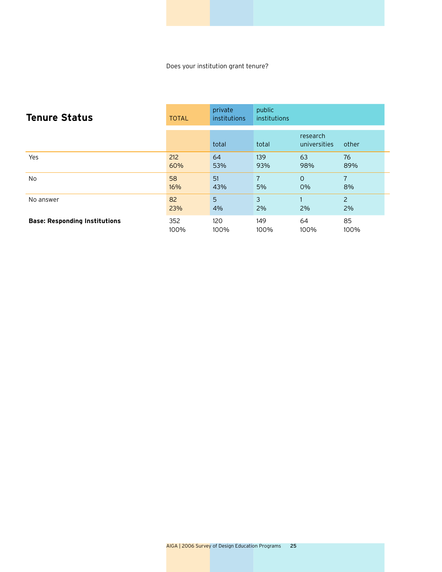Does your institution grant tenure?

| <b>Tenure Status</b>                 | <b>TOTAL</b> | private<br><i>institutions</i> | public<br>institutions |                          |                |
|--------------------------------------|--------------|--------------------------------|------------------------|--------------------------|----------------|
|                                      |              | total                          | total                  | research<br>universities | other          |
| Yes                                  | 212          | 64                             | 139                    | 63                       | 76             |
|                                      | 60%          | 53%                            | 93%                    | 98%                      | 89%            |
| N <sub>o</sub>                       | 58           | 51                             | $\overline{7}$         | $\Omega$                 | $\overline{7}$ |
|                                      | 16%          | 43%                            | 5%                     | 0%                       | 8%             |
| No answer                            | 82<br>23%    | 5<br>4%                        | 3<br>2%                | 2%                       | 2<br>2%        |
| <b>Base: Responding Institutions</b> | 352          | 120                            | 149                    | 64                       | 85             |
|                                      | 100%         | 100%                           | 100%                   | 100%                     | 100%           |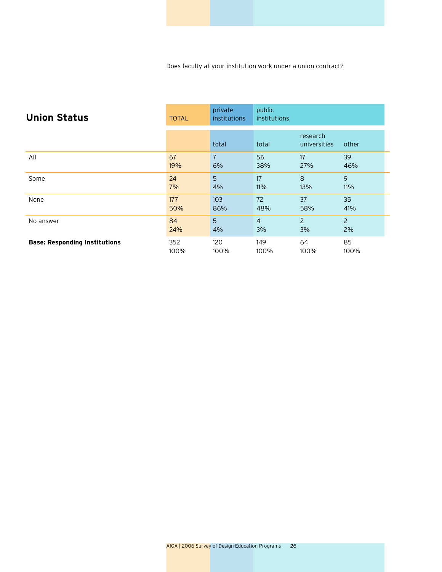Does faculty at your institution work under a union contract?

| <b>Union Status</b>                  | <b>TOTAL</b> | private<br><i>institutions</i> | public<br>institutions |                          |                |
|--------------------------------------|--------------|--------------------------------|------------------------|--------------------------|----------------|
|                                      |              | total                          | total                  | research<br>universities | other          |
| All                                  | 67           | $\overline{7}$                 | 56                     | 17                       | 39             |
|                                      | 19%          | 6%                             | 38%                    | 27%                      | 46%            |
| Some                                 | 24           | 5                              | 17                     | 8                        | 9              |
|                                      | 7%           | 4%                             | 11%                    | 13%                      | 11%            |
| None                                 | 177          | 103                            | 72                     | 37                       | 35             |
|                                      | 50%          | 86%                            | 48%                    | 58%                      | 41%            |
| No answer                            | 84           | 5                              | $\overline{4}$         | 2                        | $\overline{2}$ |
|                                      | 24%          | 4%                             | 3%                     | 3%                       | 2%             |
| <b>Base: Responding Institutions</b> | 352          | 120                            | 149                    | 64                       | 85             |
|                                      | 100%         | 100%                           | 100%                   | 100%                     | 100%           |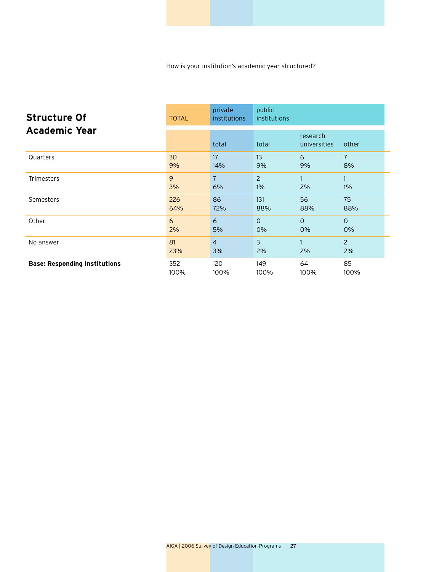How is your institution's academic year structured?

| <b>Structure Of</b><br><b>Academic Year</b> | <b>TOTAL</b> | private<br><i>institutions</i> | public<br>institutions |                          |                |
|---------------------------------------------|--------------|--------------------------------|------------------------|--------------------------|----------------|
|                                             |              | total                          | total                  | research<br>universities | other          |
| Quarters                                    | 30           | 17                             | 13                     | 6                        | $\overline{7}$ |
|                                             | 9%           | 14%                            | 9%                     | 9%                       | 8%             |
| <b>Trimesters</b>                           | 9            | $\overline{7}$                 | $\overline{2}$         | $\mathbf{1}$             | 1              |
|                                             | 3%           | 6%                             | $1\%$                  | 2%                       | $1\%$          |
| Semesters                                   | 226          | 86                             | 131                    | 56                       | 75             |
|                                             | 64%          | 72%                            | 88%                    | 88%                      | 88%            |
| Other                                       | 6            | 6                              | $\Omega$               | $\Omega$                 | $\Omega$       |
|                                             | 2%           | 5%                             | 0%                     | 0%                       | 0%             |
| No answer                                   | 81           | $\overline{4}$                 | 3                      | $\mathbf{1}$             | $\overline{2}$ |
|                                             | 23%          | 3%                             | 2%                     | 2%                       | 2%             |
| <b>Base: Responding Institutions</b>        | 352          | 120                            | 149                    | 64                       | 85             |
|                                             | 100%         | 100%                           | 100%                   | 100%                     | 100%           |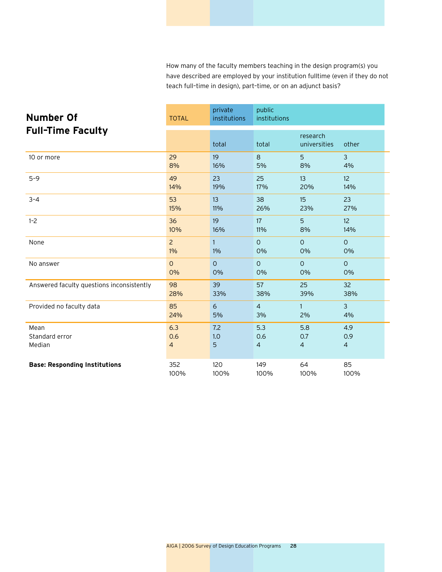How many of the faculty members teaching in the design program(s) you have described are employed by your institution fulltime (even if they do not teach full–time in design), part–time, or on an adjunct basis?

| <b>Number Of</b><br><b>Full-Time Faculty</b> | <b>TOTAL</b>   | private<br>institutions | public<br>institutions |                          |                |
|----------------------------------------------|----------------|-------------------------|------------------------|--------------------------|----------------|
|                                              |                | total                   | total                  | research<br>universities | other          |
| 10 or more                                   | 29             | 19                      | 8                      | 5                        | $\overline{3}$ |
|                                              | 8%             | 16%                     | 5%                     | 8%                       | 4%             |
| $5 - 9$                                      | 49             | 23                      | 25                     | 13                       | 12             |
|                                              | 14%            | 19%                     | 17%                    | 20%                      | 14%            |
| $3 - 4$                                      | 53             | 13                      | 38                     | 15                       | 23             |
|                                              | 15%            | 11%                     | 26%                    | 23%                      | 27%            |
| $1 - 2$                                      | 36             | 19                      | 17                     | 5                        | 12             |
|                                              | 10%            | 16%                     | 11%                    | 8%                       | 14%            |
| None                                         | $\overline{2}$ | $\mathbf{1}$            | $\circ$                | $\circ$                  | $\circ$        |
|                                              | $1\%$          | 1%                      | 0%                     | 0%                       | 0%             |
| No answer                                    | $\overline{O}$ | $\Omega$                | $\Omega$               | $\Omega$                 | $\Omega$       |
|                                              | 0%             | $0\%$                   | 0%                     | 0%                       | 0%             |
| Answered faculty questions inconsistently    | 98             | 39                      | 57                     | 25                       | 32             |
|                                              | 28%            | 33%                     | 38%                    | 39%                      | 38%            |
| Provided no faculty data                     | 85             | 6                       | $\overline{4}$         | $\mathbf{1}$             | $\mathbf{3}$   |
|                                              | 24%            | 5%                      | 3%                     | 2%                       | 4%             |
| Mean                                         | 6.3            | 7.2                     | 5.3                    | 5.8                      | 4.9            |
| Standard error                               | 0.6            | 1.0                     | 0.6                    | 0.7                      | 0.9            |
| Median                                       | $\overline{4}$ | 5                       | $\overline{4}$         | $\overline{4}$           | $\overline{4}$ |
| <b>Base: Responding Institutions</b>         | 352            | 120                     | 149                    | 64                       | 85             |
|                                              | 100%           | 100%                    | 100%                   | 100%                     | 100%           |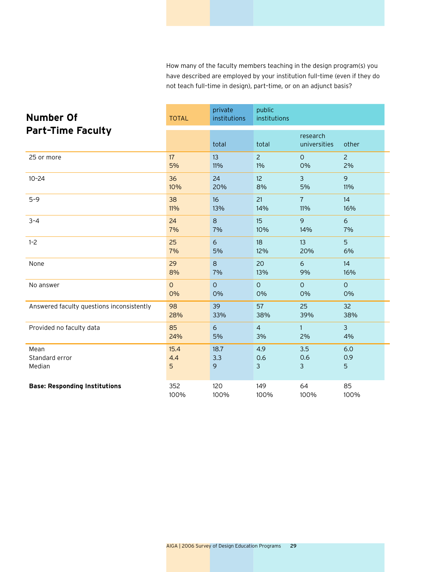How many of the faculty members teaching in the design program(s) you have described are employed by your institution full–time (even if they do not teach full–time in design), part–time, or on an adjunct basis?

| <b>Number Of</b>                          | <b>TOTAL</b>   | private<br>institutions | public<br>institutions |                          |                |
|-------------------------------------------|----------------|-------------------------|------------------------|--------------------------|----------------|
| <b>Part-Time Faculty</b>                  |                | total                   | total                  | research<br>universities | other          |
| 25 or more                                | 17             | 13                      | $\overline{2}$         | $\Omega$                 | $\overline{2}$ |
|                                           | 5%             | 11%                     | 1%                     | 0%                       | 2%             |
| $10 - 24$                                 | 36             | 24                      | 12                     | $\overline{3}$           | 9              |
|                                           | 10%            | 20%                     | 8%                     | 5%                       | 11%            |
| $5 - 9$                                   | 38             | 16                      | 21                     | $\overline{7}$           | 14             |
|                                           | 11%            | 13%                     | 14%                    | 11%                      | 16%            |
| $3 - 4$                                   | 24             | 8                       | 15                     | 9                        | 6              |
|                                           | 7%             | 7%                      | 10%                    | 14%                      | 7%             |
| $1 - 2$                                   | 25             | 6                       | 18                     | 13                       | 5              |
|                                           | 7%             | 5%                      | 12%                    | 20%                      | 6%             |
| None                                      | 29             | 8                       | 20                     | 6                        | 14             |
|                                           | 8%             | 7%                      | 13%                    | 9%                       | 16%            |
| No answer                                 | $\overline{O}$ | $\overline{O}$          | $\circ$                | $\circ$                  | $\circ$        |
|                                           | 0%             | 0%                      | 0%                     | 0%                       | 0%             |
| Answered faculty questions inconsistently | 98             | 39                      | 57                     | 25                       | 32             |
|                                           | 28%            | 33%                     | 38%                    | 39%                      | 38%            |
| Provided no faculty data                  | 85             | 6                       | $\overline{4}$         | $\mathbf{1}$             | $\overline{3}$ |
|                                           | 24%            | 5%                      | 3%                     | 2%                       | 4%             |
| Mean                                      | 15.4           | 18.7                    | 4.9                    | 3.5                      | 6.0            |
| Standard error                            | 4.4            | 3.3                     | 0.6                    | 0.6                      | 0.9            |
| Median                                    | 5              | 9                       | 3                      | 3                        | 5              |
| <b>Base: Responding Institutions</b>      | 352            | 120                     | 149                    | 64                       | 85             |
|                                           | 100%           | 100%                    | 100%                   | 100%                     | 100%           |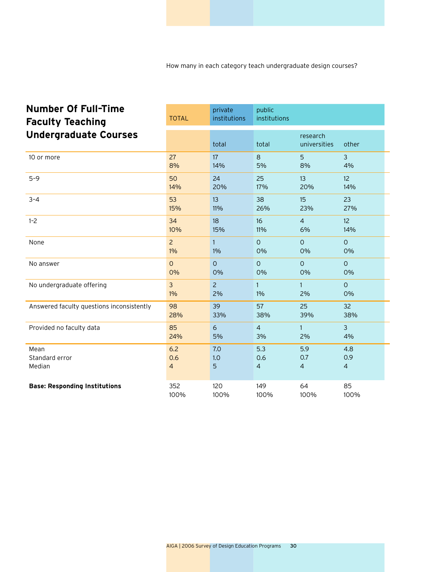How many in each category teach undergraduate design courses?

| <b>Number Of Full-Time</b><br><b>Faculty Teaching</b> | <b>TOTAL</b>   | private<br>institutions | public<br>institutions |                          |                |
|-------------------------------------------------------|----------------|-------------------------|------------------------|--------------------------|----------------|
| <b>Undergraduate Courses</b>                          |                | total                   | total                  | research<br>universities | other          |
| 10 or more                                            | 27             | 17                      | 8                      | 5                        | 3              |
|                                                       | 8%             | 14%                     | 5%                     | 8%                       | 4%             |
| $5 - 9$                                               | 50             | 24                      | 25                     | 13                       | 12             |
|                                                       | 14%            | 20%                     | 17%                    | 20%                      | 14%            |
| $3 - 4$                                               | 53             | 13                      | 38                     | 15                       | 23             |
|                                                       | 15%            | 11%                     | 26%                    | 23%                      | 27%            |
| $1 - 2$                                               | 34             | 18                      | 16                     | $\overline{4}$           | 12             |
|                                                       | 10%            | 15%                     | 11%                    | 6%                       | 14%            |
| None                                                  | $\overline{2}$ | $\mathbf{1}$            | $\overline{O}$         | $\Omega$                 | $\circ$        |
|                                                       | 1%             | 1%                      | 0%                     | 0%                       | 0%             |
| No answer                                             | $\overline{O}$ | $\circ$                 | $\overline{O}$         | $\circ$                  | $\circ$        |
|                                                       | 0%             | 0%                      | 0%                     | 0%                       | 0%             |
| No undergraduate offering                             | $\overline{3}$ | $\overline{c}$          | $\mathbf{1}$           | $\mathbf{1}$             | $\circ$        |
|                                                       | $1\%$          | 2%                      | 1%                     | 2%                       | 0%             |
| Answered faculty questions inconsistently             | 98             | 39                      | 57                     | 25                       | 32             |
|                                                       | 28%            | 33%                     | 38%                    | 39%                      | 38%            |
| Provided no faculty data                              | 85             | 6                       | $\overline{4}$         | $\mathbf{1}$             | $\overline{3}$ |
|                                                       | 24%            | 5%                      | 3%                     | 2%                       | 4%             |
| Mean                                                  | 6.2            | 7.0                     | 5.3                    | 5.9                      | 4.8            |
| Standard error                                        | 0.6            | 1.0                     | 0.6                    | 0.7                      | 0.9            |
| Median                                                | $\overline{4}$ | 5                       | $\overline{4}$         | $\overline{4}$           | $\overline{a}$ |
| <b>Base: Responding Institutions</b>                  | 352            | 120                     | 149                    | 64                       | 85             |
|                                                       | 100%           | 100%                    | 100%                   | 100%                     | 100%           |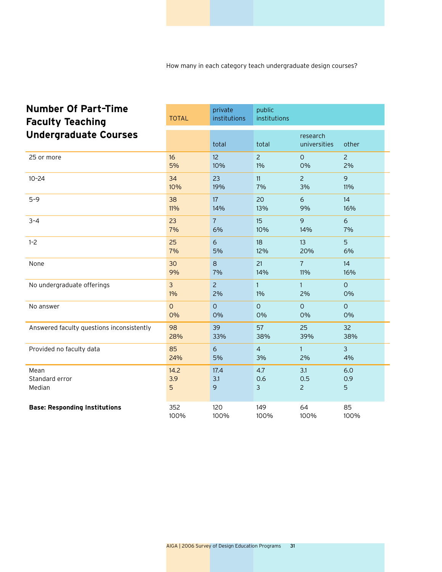| <b>Number Of Part-Time</b><br><b>Faculty Teaching</b> | <b>TOTAL</b>   | private<br>institutions | public<br>institutions |                          |                |
|-------------------------------------------------------|----------------|-------------------------|------------------------|--------------------------|----------------|
| <b>Undergraduate Courses</b>                          |                | total                   | total                  | research<br>universities | other          |
| 25 or more                                            | 16             | 12                      | $\overline{2}$         | $\mathbf 0$              | $\overline{2}$ |
|                                                       | 5%             | 10%                     | 1%                     | 0%                       | 2%             |
| $10 - 24$                                             | 34             | 23                      | 11                     | $\overline{2}$           | 9              |
|                                                       | 10%            | 19%                     | 7%                     | 3%                       | 11%            |
| $5 - 9$                                               | 38             | 17                      | 20                     | 6                        | 14             |
|                                                       | 11%            | 14%                     | 13%                    | 9%                       | 16%            |
| $3 - 4$                                               | 23             | $\overline{7}$          | 15                     | 9                        | 6              |
|                                                       | 7%             | 6%                      | 10%                    | 14%                      | 7%             |
| $1 - 2$                                               | 25             | 6                       | 18                     | 13                       | 5              |
|                                                       | 7%             | 5%                      | 12%                    | 20%                      | 6%             |
| None                                                  | 30             | 8                       | 21                     | $\overline{7}$           | 14             |
|                                                       | 9%             | 7%                      | 14%                    | 11%                      | 16%            |
| No undergraduate offerings                            | $\overline{3}$ | $\overline{2}$          | $\mathbf{1}$           | $\mathbf{1}$             | $\circ$        |
|                                                       | $1\%$          | 2%                      | $1\%$                  | 2%                       | 0%             |
| No answer                                             | $\overline{O}$ | $\Omega$                | $\Omega$               | $\Omega$                 | $\Omega$       |
|                                                       | 0%             | 0%                      | 0%                     | 0%                       | 0%             |
| Answered faculty questions inconsistently             | 98             | 39                      | 57                     | 25                       | 32             |
|                                                       | 28%            | 33%                     | 38%                    | 39%                      | 38%            |
| Provided no faculty data                              | 85             | 6                       | $\overline{4}$         | $\mathbf{1}$             | $\overline{3}$ |
|                                                       | 24%            | 5%                      | 3%                     | 2%                       | 4%             |
| Mean                                                  | 14.2           | 17.4                    | 4.7                    | 3.1                      | 6.0            |
| Standard error                                        | 3.9            | 3.1                     | 0.6                    | 0.5                      | 0.9            |
| Median                                                | 5              | 9                       | 3                      | $\overline{2}$           | 5              |
| <b>Base: Responding Institutions</b>                  | 352            | 120                     | 149                    | 64                       | 85             |
|                                                       | 100%           | 100%                    | 100%                   | 100%                     | 100%           |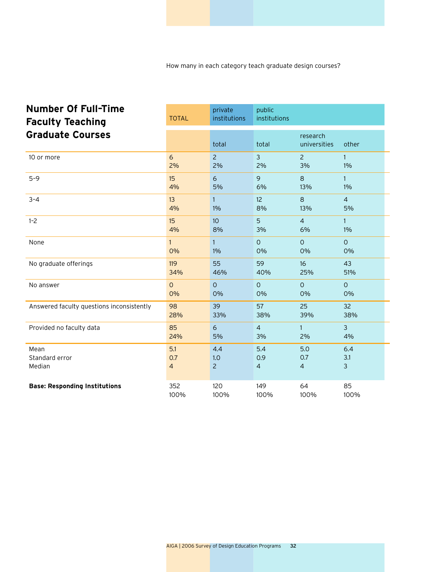How many in each category teach graduate design courses?

| <b>Number Of Full-Time</b><br><b>Faculty Teaching</b><br><b>Graduate Courses</b> | <b>TOTAL</b>   | private<br>institutions | public<br>institutions |                          |                |
|----------------------------------------------------------------------------------|----------------|-------------------------|------------------------|--------------------------|----------------|
|                                                                                  |                | total                   | total                  | research<br>universities | other          |
| 10 or more                                                                       | 6              | $\overline{2}$          | $\overline{3}$         | $\overline{2}$           | $\mathbf{1}$   |
|                                                                                  | 2%             | 2%                      | 2%                     | 3%                       | 1%             |
| $5 - 9$                                                                          | 15             | 6                       | 9                      | 8                        | $\mathbf{1}$   |
|                                                                                  | 4%             | 5%                      | 6%                     | 13%                      | 1%             |
| $3 - 4$                                                                          | 13             | $\mathbf{1}$            | 12                     | 8                        | $\overline{4}$ |
|                                                                                  | 4%             | 1%                      | 8%                     | 13%                      | 5%             |
| $1 - 2$                                                                          | 15             | 10 <sup>°</sup>         | 5                      | $\overline{4}$           | $\mathbf{1}$   |
|                                                                                  | 4%             | 8%                      | 3%                     | 6%                       | 1%             |
| None                                                                             | $\mathbf{1}$   | $\mathbf{1}$            | $\Omega$               | $\Omega$                 | $\Omega$       |
|                                                                                  | 0%             | $1\%$                   | 0%                     | 0%                       | 0%             |
| No graduate offerings                                                            | 119            | 55                      | 59                     | 16                       | 43             |
|                                                                                  | 34%            | 46%                     | 40%                    | 25%                      | 51%            |
| No answer                                                                        | $\circ$        | $\overline{O}$          | $\circ$                | $\circ$                  | $\mathbf{O}$   |
|                                                                                  | 0%             | 0%                      | 0%                     | 0%                       | 0%             |
| Answered faculty questions inconsistently                                        | 98             | 39                      | 57                     | 25                       | 32             |
|                                                                                  | 28%            | 33%                     | 38%                    | 39%                      | 38%            |
| Provided no faculty data                                                         | 85             | 6                       | $\overline{4}$         | $\mathbf{1}$             | $\mathbf{3}$   |
|                                                                                  | 24%            | 5%                      | 3%                     | 2%                       | 4%             |
| Mean                                                                             | 5.1            | 4.4                     | 5.4                    | 5.0                      | 6.4            |
| Standard error                                                                   | 0.7            | 1.0                     | 0.9                    | 0.7                      | 3.1            |
| Median                                                                           | $\overline{a}$ | $\overline{2}$          | $\overline{4}$         | $\overline{4}$           | $\mathbf{3}$   |
| <b>Base: Responding Institutions</b>                                             | 352            | 120                     | 149                    | 64                       | 85             |
|                                                                                  | 100%           | 100%                    | 100%                   | 100%                     | 100%           |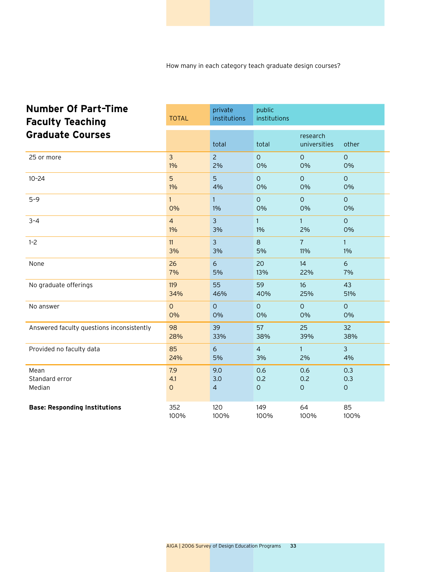How many in each category teach graduate design courses?

| <b>Number Of Part-Time</b><br><b>Faculty Teaching</b> | <b>TOTAL</b>   | private<br>institutions | public<br>institutions |                          |                |
|-------------------------------------------------------|----------------|-------------------------|------------------------|--------------------------|----------------|
| <b>Graduate Courses</b>                               |                | total                   | total                  | research<br>universities | other          |
| 25 or more                                            | $\overline{3}$ | $\overline{c}$          | $\circ$                | $\mathsf{O}\xspace$      | $\mathsf O$    |
|                                                       | $1\%$          | 2%                      | 0%                     | 0%                       | 0%             |
| $10 - 24$                                             | 5              | 5                       | $\overline{O}$         | $\mathsf{O}$             | $\overline{O}$ |
|                                                       | $1\%$          | 4%                      | 0%                     | 0%                       | 0%             |
| $5 - 9$                                               | $\mathbf{1}$   | $\mathbf{1}$            | $\overline{O}$         | $\mathsf{O}$             | $\overline{O}$ |
|                                                       | 0%             | $1\%$                   | 0%                     | 0%                       | 0%             |
| $3 - 4$                                               | $\overline{4}$ | $\overline{3}$          | $\mathbf{1}$           | $\mathbf{1}$             | $\circ$        |
|                                                       | $1\%$          | 3%                      | $1\%$                  | 2%                       | 0%             |
| $1 - 2$                                               | 11             | $\overline{3}$          | $\mathbf{8}$           | $\overline{7}$           | $\mathbf{1}$   |
|                                                       | 3%             | 3%                      | 5%                     | 11%                      | $1\%$          |
| None                                                  | 26             | $\epsilon$              | 20                     | 14                       | 6              |
|                                                       | 7%             | 5%                      | 13%                    | 22%                      | 7%             |
| No graduate offerings                                 | 119            | 55                      | 59                     | 16                       | 43             |
|                                                       | 34%            | 46%                     | 40%                    | 25%                      | 51%            |
| No answer                                             | $\overline{O}$ | $\overline{O}$          | $\overline{O}$         | $\mathsf{O}$             | $\circ$        |
|                                                       | 0%             | 0%                      | 0%                     | 0%                       | 0%             |
| Answered faculty questions inconsistently             | 98             | 39                      | 57                     | 25                       | 32             |
|                                                       | 28%            | 33%                     | 38%                    | 39%                      | 38%            |
| Provided no faculty data                              | 85             | 6                       | $\overline{4}$         | $\mathbf{1}$             | $\mathbf{3}$   |
|                                                       | 24%            | 5%                      | 3%                     | 2%                       | 4%             |
| Mean                                                  | 7.9            | 9.0                     | 0.6                    | 0.6                      | 0.3            |
| Standard error                                        | 4.1            | 3.0                     | 0.2                    | 0.2                      | 0.3            |
| Median                                                | $\mathsf O$    | $\overline{4}$          | $\mathsf{O}\xspace$    | $\mathsf O$              | $\mathsf{O}$   |
| <b>Base: Responding Institutions</b>                  | 352            | 120                     | 149                    | 64                       | 85             |
|                                                       | 100%           | 100%                    | 100%                   | 100%                     | 100%           |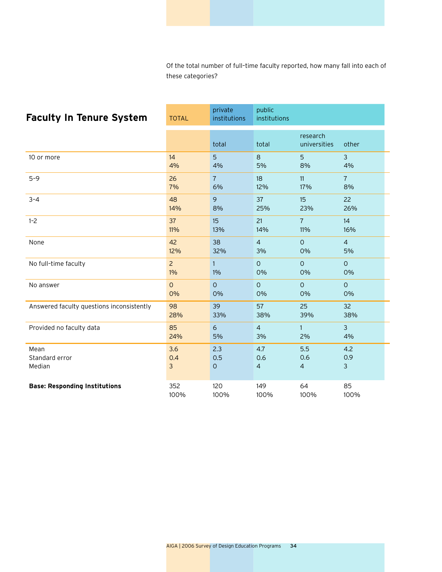| <b>Faculty In Tenure System</b>           | <b>TOTAL</b>   | private<br>institutions | public<br>institutions |                          |                |
|-------------------------------------------|----------------|-------------------------|------------------------|--------------------------|----------------|
|                                           |                | total                   | total                  | research<br>universities | other          |
| 10 or more                                | 14             | 5                       | 8                      | 5                        | 3              |
|                                           | 4%             | 4%                      | 5%                     | 8%                       | 4%             |
| $5 - 9$                                   | 26             | $\overline{7}$          | 18                     | 11                       | $\overline{7}$ |
|                                           | 7%             | 6%                      | 12%                    | 17%                      | 8%             |
| $3 - 4$                                   | 48             | 9                       | 37                     | 15                       | 22             |
|                                           | 14%            | 8%                      | 25%                    | 23%                      | 26%            |
| $1 - 2$                                   | 37             | 15                      | 21                     | $\overline{7}$           | 14             |
|                                           | 11%            | 13%                     | 14%                    | 11%                      | 16%            |
| None                                      | 42             | 38                      | $\overline{4}$         | $\Omega$                 | $\overline{4}$ |
|                                           | 12%            | 32%                     | 3%                     | 0%                       | 5%             |
| No full-time faculty                      | $\overline{2}$ | $\mathbf{1}$            | $\overline{O}$         | $\circ$                  | $\Omega$       |
|                                           | 1%             | 1%                      | 0%                     | 0%                       | 0%             |
| No answer                                 | $\mathsf{O}$   | $\overline{O}$          | $\circ$                | $\circ$                  | $\mathsf{O}$   |
|                                           | 0%             | 0%                      | 0%                     | 0%                       | 0%             |
| Answered faculty questions inconsistently | 98             | 39                      | 57                     | 25                       | 32             |
|                                           | 28%            | 33%                     | 38%                    | 39%                      | 38%            |
| Provided no faculty data                  | 85             | 6                       | $\overline{4}$         | $\mathbf{1}$             | $\overline{3}$ |
|                                           | 24%            | 5%                      | 3%                     | 2%                       | 4%             |
| Mean                                      | 3.6            | 2.3                     | 4.7                    | 5.5                      | 4.2            |
| Standard error                            | 0.4            | 0.5                     | 0.6                    | 0.6                      | 0.9            |
| Median                                    | 3              | $\mathsf{O}$            | $\overline{4}$         | $\overline{4}$           | $\mathsf{3}$   |
| <b>Base: Responding Institutions</b>      | 352            | 120                     | 149                    | 64                       | 85             |
|                                           | 100%           | 100%                    | 100%                   | 100%                     | 100%           |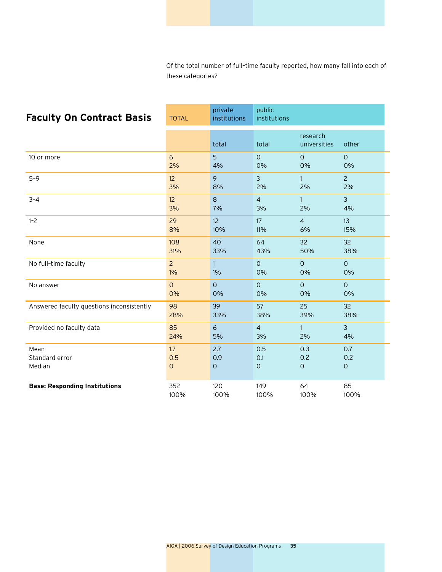| <b>Faculty On Contract Basis</b>          | <b>TOTAL</b>    | private<br>institutions | public<br>institutions |                          |                |
|-------------------------------------------|-----------------|-------------------------|------------------------|--------------------------|----------------|
|                                           |                 | total                   | total                  | research<br>universities | other          |
| 10 or more                                | 6               | 5                       | $\mathbf{O}$           | $\circ$                  | $\mathbf{O}$   |
|                                           | 2%              | 4%                      | 0%                     | 0%                       | 0%             |
| $5 - 9$                                   | 12 <sup>°</sup> | 9                       | $\mathfrak{Z}$         | $\mathbf{1}$             | $\overline{2}$ |
|                                           | 3%              | 8%                      | 2%                     | 2%                       | 2%             |
| $3 - 4$                                   | 12 <sup>°</sup> | 8                       | $\overline{4}$         | $\mathbf{1}$             | $\overline{3}$ |
|                                           | 3%              | 7%                      | 3%                     | 2%                       | 4%             |
| $1 - 2$                                   | 29              | 12 <sup>2</sup>         | 17                     | $\overline{4}$           | 13             |
|                                           | 8%              | 10%                     | 11%                    | 6%                       | 15%            |
| None                                      | 108             | 40                      | 64                     | 32                       | 32             |
|                                           | 31%             | 33%                     | 43%                    | 50%                      | 38%            |
| No full-time faculty                      | $\overline{2}$  | $\mathbf{1}$            | $\Omega$               | $\mathsf{O}$             | $\Omega$       |
|                                           | $1\%$           | 1%                      | 0%                     | 0%                       | 0%             |
| No answer                                 | $\overline{O}$  | $\overline{O}$          | $\circ$                | $\circ$                  | $\mathsf{O}$   |
|                                           | 0%              | 0%                      | 0%                     | 0%                       | 0%             |
| Answered faculty questions inconsistently | 98              | 39                      | 57                     | 25                       | 32             |
|                                           | 28%             | 33%                     | 38%                    | 39%                      | 38%            |
| Provided no faculty data                  | 85              | 6                       | $\overline{4}$         | $\mathbf{1}$             | $\overline{3}$ |
|                                           | 24%             | 5%                      | 3%                     | 2%                       | 4%             |
| Mean                                      | 1.7             | 2.7                     | 0.5                    | 0.3                      | 0.7            |
| Standard error                            | 0.5             | 0.9                     | 0.1                    | 0.2                      | 0.2            |
| Median                                    | $\mathsf{O}$    | $\circ$                 | 0                      | $\circ$                  | $\mathsf O$    |
| <b>Base: Responding Institutions</b>      | 352             | 120                     | 149                    | 64                       | 85             |
|                                           | 100%            | 100%                    | 100%                   | 100%                     | 100%           |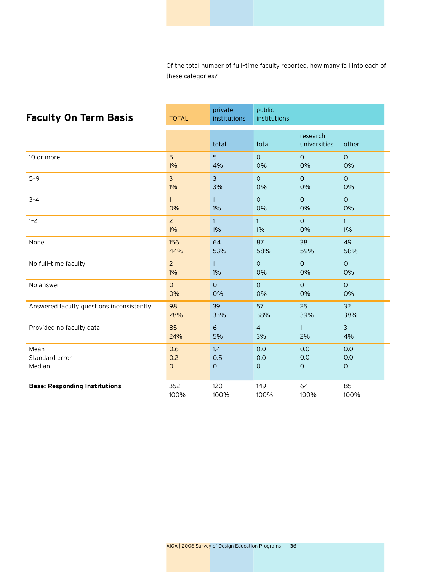| <b>Faculty On Term Basis</b>              | <b>TOTAL</b>   | private<br>institutions | public<br>institutions |                          |                |
|-------------------------------------------|----------------|-------------------------|------------------------|--------------------------|----------------|
|                                           |                | total                   | total                  | research<br>universities | other          |
| 10 or more                                | 5              | 5                       | $\circ$                | $\circ$                  | $\circ$        |
|                                           | 1%             | 4%                      | 0%                     | 0%                       | 0%             |
| $5 - 9$                                   | $\overline{3}$ | $\overline{3}$          | $\circ$                | $\circ$                  | $\circ$        |
|                                           | $1\%$          | 3%                      | 0%                     | 0%                       | 0%             |
| $3 - 4$                                   | 1              | $\mathbf{1}$            | $\circ$                | $\circ$                  | $\circ$        |
|                                           | 0%             | 1%                      | 0%                     | 0%                       | 0%             |
| $1 - 2$                                   | $\overline{2}$ | $\mathbf{1}$            | $\mathbf{1}$           | $\mathsf{O}$             | $\mathbf{1}$   |
|                                           | 1%             | $1\%$                   | 1%                     | 0%                       | 1%             |
| None                                      | 156            | 64                      | 87                     | 38                       | 49             |
|                                           | 44%            | 53%                     | 58%                    | 59%                      | 58%            |
| No full-time faculty                      | $\overline{2}$ | $\mathbf{1}$            | $\Omega$               | $\Omega$                 | $\mathsf{O}$   |
|                                           | $1\%$          | 1%                      | 0%                     | 0%                       | 0%             |
| No answer                                 | $\overline{O}$ | $\overline{O}$          | $\overline{O}$         | $\mathsf{O}$             | $\circ$        |
|                                           | 0%             | 0%                      | 0%                     | 0%                       | 0%             |
| Answered faculty questions inconsistently | 98             | 39                      | 57                     | 25                       | 32             |
|                                           | 28%            | 33%                     | 38%                    | 39%                      | 38%            |
| Provided no faculty data                  | 85             | 6                       | $\overline{4}$         | $\mathbf{1}$             | $\overline{3}$ |
|                                           | 24%            | 5%                      | 3%                     | 2%                       | 4%             |
| Mean                                      | 0.6            | 1.4                     | 0.0                    | 0.0                      | 0.0            |
| Standard error                            | 0.2            | 0.5                     | 0.0                    | 0.0                      | 0.0            |
| Median                                    | $\mathsf{O}$   | $\mathbf{O}$            | $\mathbf 0$            | $\circ$                  | $\mathsf O$    |
| <b>Base: Responding Institutions</b>      | 352            | 120                     | 149                    | 64                       | 85             |
|                                           | 100%           | 100%                    | 100%                   | 100%                     | 100%           |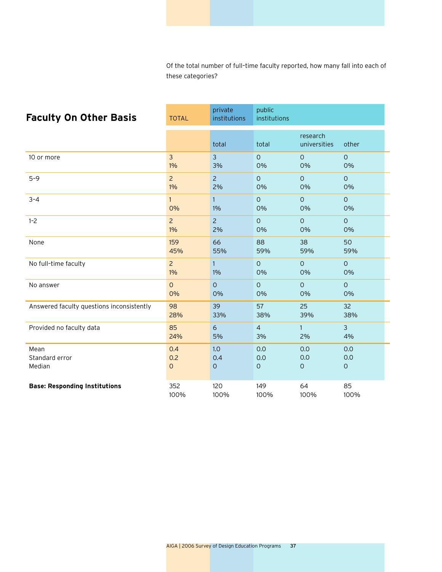| <b>Faculty On Other Basis</b>             | <b>TOTAL</b>   | private<br>institutions | public<br>institutions |                          |                |
|-------------------------------------------|----------------|-------------------------|------------------------|--------------------------|----------------|
|                                           |                | total                   | total                  | research<br>universities | other          |
| 10 or more                                | $\overline{3}$ | 3                       | $\Omega$               | $\Omega$                 | $\Omega$       |
|                                           | $1\%$          | 3%                      | 0%                     | 0%                       | 0%             |
| $5 - 9$                                   | $\overline{2}$ | $\overline{2}$          | $\overline{O}$         | $\circ$                  | $\mathsf{O}$   |
|                                           | $1\%$          | 2%                      | 0%                     | 0%                       | 0%             |
| $3 - 4$                                   | 1 <sup>1</sup> | $\mathbf{1}$            | $\circ$                | $\mathbf{O}$             | $\circ$        |
|                                           | 0%             | 1%                      | 0%                     | 0%                       | 0%             |
| $1 - 2$                                   | $\overline{2}$ | $\overline{2}$          | $\overline{O}$         | $\mathsf{O}$             | $\circ$        |
|                                           | $1\%$          | 2%                      | 0%                     | 0%                       | 0%             |
| None                                      | 159            | 66                      | 88                     | 38                       | 50             |
|                                           | 45%            | 55%                     | 59%                    | 59%                      | 59%            |
| No full-time faculty                      | $\overline{2}$ | $\mathbf{1}$            | $\Omega$               | $\circ$                  | $\circ$        |
|                                           | $1\%$          | 1%                      | 0%                     | 0%                       | 0%             |
| No answer                                 | $\mathsf{O}$   | $\overline{O}$          | $\mathsf{O}$           | $\circ$                  | $\circ$        |
|                                           | 0%             | 0%                      | 0%                     | 0%                       | 0%             |
| Answered faculty questions inconsistently | 98             | 39                      | 57                     | 25                       | 32             |
|                                           | 28%            | 33%                     | 38%                    | 39%                      | 38%            |
| Provided no faculty data                  | 85             | 6                       | $\overline{4}$         | $\mathbf{1}$             | $\overline{3}$ |
|                                           | 24%            | 5%                      | 3%                     | 2%                       | 4%             |
| Mean                                      | 0.4            | 1.0                     | 0.0                    | 0.0                      | 0.0            |
| Standard error                            | 0.2            | 0.4                     | 0.0                    | 0.0                      | 0.0            |
| Median                                    | $\mathsf{O}$   | 0                       | $\mathbf 0$            | $\circ$                  | $\mathsf O$    |
| <b>Base: Responding Institutions</b>      | 352            | 120                     | 149                    | 64                       | 85             |
|                                           | 100%           | 100%                    | 100%                   | 100%                     | 100%           |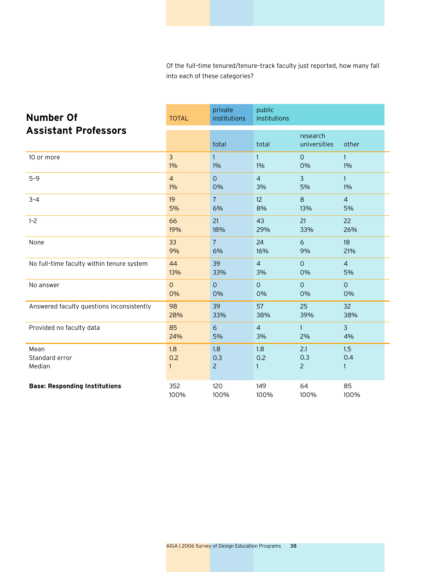| <b>Number Of</b>                          | <b>TOTAL</b>   | private<br>institutions      | public<br>institutions |                              |                 |
|-------------------------------------------|----------------|------------------------------|------------------------|------------------------------|-----------------|
| <b>Assistant Professors</b>               |                | total                        | total                  | research<br>universities     | other           |
| 10 or more                                | $\overline{3}$ | $\mathbf{1}$                 | $\mathbf{1}$           | $\Omega$                     | $\mathbf{1}$    |
|                                           | $1\%$          | $1\%$                        | 1%                     | 0%                           | 1%              |
| $5 - 9$                                   | $\overline{4}$ | $\overline{O}$               | $\overline{4}$         | $\overline{3}$               | $\mathbf{1}$    |
|                                           | $1\%$          | 0%                           | 3%                     | 5%                           | 1%              |
| $3 - 4$                                   | 19             | $\overline{7}$               | 12                     | 8                            | $\overline{4}$  |
|                                           | 5%             | 6%                           | 8%                     | 13%                          | 5%              |
| $1 - 2$                                   | 66             | 21                           | 43                     | 21                           | 22              |
|                                           | 19%            | 18%                          | 29%                    | 33%                          | 26%             |
| None                                      | 33             | $\overline{7}$               | 24                     | 6                            | 18              |
|                                           | 9%             | 6%                           | 16%                    | 9%                           | 21%             |
| No full-time faculty within tenure system | 44             | 39                           | $\overline{4}$         | $\mathbf{O}$                 | $\overline{4}$  |
|                                           | 13%            | 33%                          | 3%                     | 0%                           | 5%              |
| No answer                                 | $\circ$        | $\Omega$                     | $\overline{O}$         | $\mathsf{O}$                 | $\circ$         |
|                                           | 0%             | 0%                           | 0%                     | 0%                           | 0%              |
| Answered faculty questions inconsistently | 98             | 39                           | 57                     | 25                           | 32              |
|                                           | 28%            | 33%                          | 38%                    | 39%                          | 38%             |
| Provided no faculty data                  | 85             | 6                            | $\overline{4}$         | $\mathbf{1}$                 | $\overline{3}$  |
|                                           | 24%            | 5%                           | 3%                     | 2%                           | 4%              |
| Mean<br>Standard error<br>Median          | 1.8<br>0.2     | 1.8<br>0.3<br>$\overline{2}$ | 1.8<br>0.2<br>1        | 2.1<br>0.3<br>$\overline{2}$ | 1.5<br>0.4<br>1 |
| <b>Base: Responding Institutions</b>      | 352            | 120                          | 149                    | 64                           | 85              |
|                                           | 100%           | 100%                         | 100%                   | 100%                         | 100%            |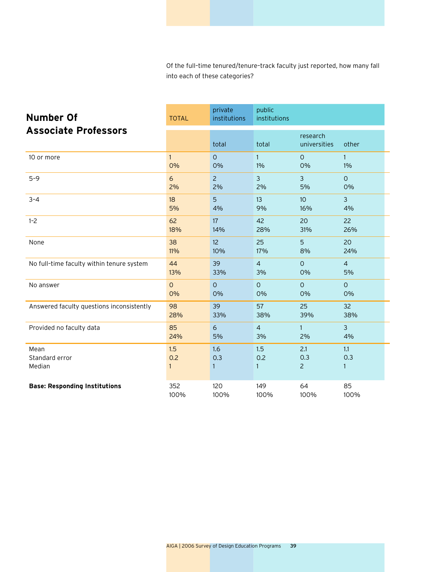| <b>Number Of</b>                          | <b>TOTAL</b>   | private<br>institutions | public<br>institutions |                              |                 |
|-------------------------------------------|----------------|-------------------------|------------------------|------------------------------|-----------------|
| <b>Associate Professors</b>               |                | total                   | total                  | research<br>universities     | other           |
| 10 or more                                | $\mathbf{1}$   | $\Omega$                | $\mathbf{1}$           | $\Omega$                     | $\mathbf{1}$    |
|                                           | 0%             | 0%                      | 1%                     | 0%                           | 1%              |
| $5 - 9$                                   | 6              | $\overline{2}$          | $\overline{3}$         | $\overline{3}$               | $\overline{O}$  |
|                                           | 2%             | 2%                      | 2%                     | 5%                           | 0%              |
| $3 - 4$                                   | 18             | 5                       | 13                     | 10 <sup>°</sup>              | $\mathbf{3}$    |
|                                           | 5%             | 4%                      | 9%                     | 16%                          | 4%              |
| $1 - 2$                                   | 62             | 17                      | 42                     | 20                           | 22              |
|                                           | 18%            | 14%                     | 28%                    | 31%                          | 26%             |
| None                                      | 38             | 12 <sup>2</sup>         | 25                     | 5                            | 20              |
|                                           | 11%            | 10%                     | 17%                    | 8%                           | 24%             |
| No full-time faculty within tenure system | 44             | 39                      | $\overline{4}$         | $\circ$                      | $\overline{4}$  |
|                                           | 13%            | 33%                     | 3%                     | 0%                           | 5%              |
| No answer                                 | $\overline{O}$ | $\overline{O}$          | $\overline{O}$         | $\circ$                      | $\overline{O}$  |
|                                           | 0%             | 0%                      | 0%                     | 0%                           | 0%              |
| Answered faculty questions inconsistently | 98             | 39                      | 57                     | 25                           | 32              |
|                                           | 28%            | 33%                     | 38%                    | 39%                          | 38%             |
| Provided no faculty data                  | 85             | 6                       | $\overline{4}$         | $\mathbf{1}$                 | $\overline{3}$  |
|                                           | 24%            | 5%                      | 3%                     | 2%                           | 4%              |
| Mean<br>Standard error<br>Median          | 1.5<br>0.2     | 1.6<br>0.3<br>1         | 1.5<br>0.2<br>1        | 2.1<br>0.3<br>$\overline{2}$ | 1.1<br>0.3<br>1 |
| <b>Base: Responding Institutions</b>      | 352            | 120                     | 149                    | 64                           | 85              |
|                                           | 100%           | 100%                    | 100%                   | 100%                         | 100%            |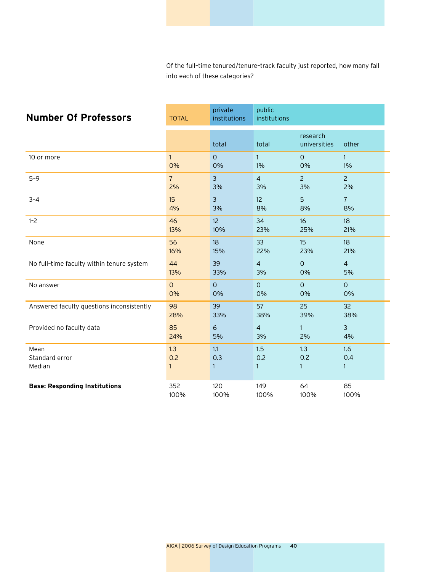| <b>Number Of Professors</b>               | <b>TOTAL</b>   | private<br>institutions | public<br>institutions     |                          |                 |
|-------------------------------------------|----------------|-------------------------|----------------------------|--------------------------|-----------------|
|                                           |                | total                   | total                      | research<br>universities | other           |
| 10 or more                                | $\mathbf{1}$   | $\Omega$                | $\mathbf{1}$               | $\Omega$                 | 1.              |
|                                           | 0%             | 0%                      | 1%                         | 0%                       | 1%              |
| $5 - 9$                                   | $\overline{7}$ | $\overline{3}$          | $\overline{4}$             | $\overline{2}$           | $\overline{2}$  |
|                                           | 2%             | 3%                      | 3%                         | 3%                       | 2%              |
| $3 - 4$                                   | 15             | $\overline{3}$          | 12                         | 5                        | $\overline{7}$  |
|                                           | 4%             | 3%                      | 8%                         | 8%                       | 8%              |
| $1 - 2$                                   | 46             | 12 <sup>2</sup>         | 34                         | 16                       | 18              |
|                                           | 13%            | 10%                     | 23%                        | 25%                      | 21%             |
| None                                      | 56             | 18                      | 33                         | 15                       | 18              |
|                                           | 16%            | 15%                     | 22%                        | 23%                      | 21%             |
| No full-time faculty within tenure system | 44             | 39                      | $\overline{4}$             | $\overline{O}$           | $\overline{4}$  |
|                                           | 13%            | 33%                     | 3%                         | 0%                       | 5%              |
| No answer                                 | $\overline{O}$ | $\overline{O}$          | $\mathsf{O}$               | $\circ$                  | $\mathsf{O}$    |
|                                           | 0%             | 0%                      | 0%                         | 0%                       | 0%              |
| Answered faculty questions inconsistently | 98             | 39                      | 57                         | 25                       | 32              |
|                                           | 28%            | 33%                     | 38%                        | 39%                      | 38%             |
| Provided no faculty data                  | 85             | 6                       | $\overline{4}$             | $\mathbf{1}$             | $\overline{3}$  |
|                                           | 24%            | 5%                      | 3%                         | 2%                       | 4%              |
| Mean<br>Standard error<br>Median          | 1.3<br>0.2     | 1.1<br>0.3<br>1         | 1.5<br>0.2<br>$\mathbf{1}$ | 1.3<br>0.2<br>1          | 1.6<br>0.4<br>1 |
| <b>Base: Responding Institutions</b>      | 352            | 120                     | 149                        | 64                       | 85              |
|                                           | 100%           | 100%                    | 100%                       | 100%                     | 100%            |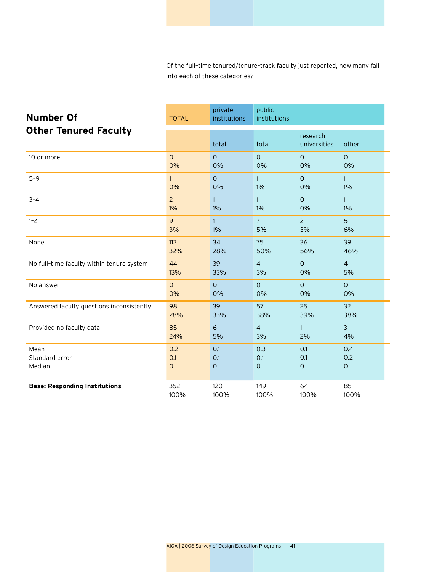| <b>Number Of</b>                          | <b>TOTAL</b>   | private<br>institutions | public<br>institutions |                          |                     |
|-------------------------------------------|----------------|-------------------------|------------------------|--------------------------|---------------------|
| <b>Other Tenured Faculty</b>              |                | total                   | total                  | research<br>universities | other               |
| 10 or more                                | $\overline{O}$ | $\overline{O}$          | $\overline{O}$         | $\Omega$                 | $\Omega$            |
|                                           | 0%             | 0%                      | 0%                     | 0%                       | 0%                  |
| $5 - 9$                                   | $\mathbf{1}$   | $\overline{0}$          | $\mathbf{1}$           | $\mathsf{O}$             | $\mathbf{1}$        |
|                                           | 0%             | 0%                      | 1%                     | 0%                       | 1%                  |
| $3 - 4$                                   | $\overline{2}$ | $\mathbf{1}$            | $\mathbf{1}$           | $\circ$                  | $\mathbf{1}$        |
|                                           | $1\%$          | 1%                      | $1\%$                  | 0%                       | 1%                  |
| $1 - 2$                                   | 9              | $\mathbf{1}$            | $\overline{7}$         | $\overline{2}$           | 5                   |
|                                           | 3%             | $1\%$                   | 5%                     | 3%                       | 6%                  |
| None                                      | 113            | 34                      | 75                     | 36                       | 39                  |
|                                           | 32%            | 28%                     | 50%                    | 56%                      | 46%                 |
| No full-time faculty within tenure system | 44             | 39                      | $\overline{4}$         | $\circ$                  | $\overline{4}$      |
|                                           | 13%            | 33%                     | 3%                     | 0%                       | 5%                  |
| No answer                                 | $\overline{O}$ | $\Omega$                | $\overline{O}$         | $\mathsf{O}$             | $\overline{O}$      |
|                                           | 0%             | 0%                      | 0%                     | 0%                       | 0%                  |
| Answered faculty questions inconsistently | 98             | 39                      | 57                     | 25                       | 32                  |
|                                           | 28%            | 33%                     | 38%                    | 39%                      | 38%                 |
| Provided no faculty data                  | 85             | 6                       | $\overline{4}$         | $\mathbf{1}$             | $\overline{3}$      |
|                                           | 24%            | 5%                      | 3%                     | 2%                       | 4%                  |
| Mean                                      | 0.2            | 0.1                     | 0.3                    | 0.1                      | 0.4                 |
| Standard error                            | 0.1            | 0.1                     | 0.1                    | O.1                      | 0.2                 |
| Median                                    | $\mathsf{O}$   | $\circ$                 | $\mathsf O$            | $\circ$                  | $\mathsf{O}\xspace$ |
| <b>Base: Responding Institutions</b>      | 352            | 120                     | 149                    | 64                       | 85                  |
|                                           | 100%           | 100%                    | 100%                   | 100%                     | 100%                |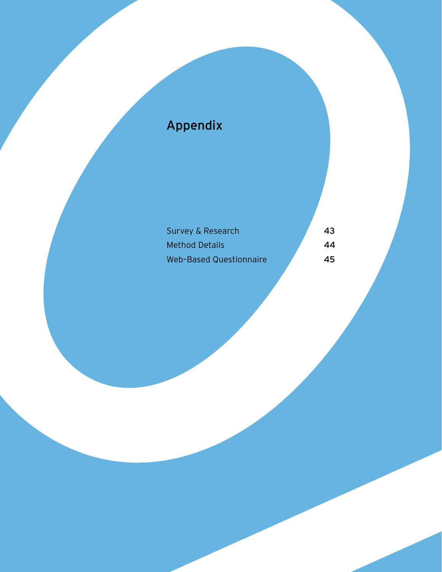## Appendix

| Survey & Research              | 43 |
|--------------------------------|----|
| <b>Method Details</b>          | 44 |
| <b>Web-Based Questionnaire</b> | 45 |

AIGA | 2006 Survey of Design Education Programs 42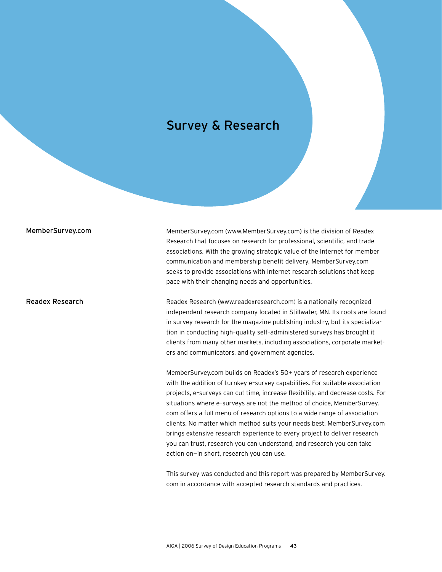#### Survey & Research

#### MemberSurvey.com

Readex Research

MemberSurvey.com (www.MemberSurvey.com) is the division of Readex Research that focuses on research for professional, scientific, and trade associations. With the growing strategic value of the Internet for member communication and membership benefit delivery, MemberSurvey.com seeks to provide associations with Internet research solutions that keep pace with their changing needs and opportunities.

Readex Research (www.readexresearch.com) is a nationally recognized independent research company located in Stillwater, MN. Its roots are found in survey research for the magazine publishing industry, but its specialization in conducting high–quality self–administered surveys has brought it clients from many other markets, including associations, corporate marketers and communicators, and government agencies.

MemberSurvey.com builds on Readex's 50+ years of research experience with the addition of turnkey e–survey capabilities. For suitable association projects, e–surveys can cut time, increase flexibility, and decrease costs. For situations where e–surveys are not the method of choice, MemberSurvey. com offers a full menu of research options to a wide range of association clients. No matter which method suits your needs best, MemberSurvey.com brings extensive research experience to every project to deliver research you can trust, research you can understand, and research you can take action on—in short, research you can use.

This survey was conducted and this report was prepared by MemberSurvey. com in accordance with accepted research standards and practices.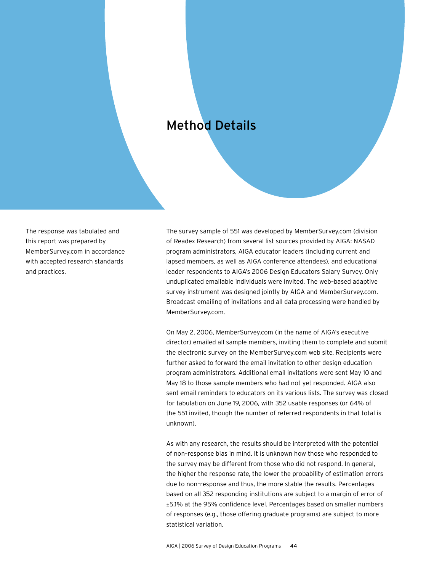#### Method Details

The response was tabulated and this report was prepared by MemberSurvey.com in accordance with accepted research standards and practices.

The survey sample of 551 was developed by MemberSurvey.com (division of Readex Research) from several list sources provided by AIGA: NASAD program administrators, AIGA educator leaders (including current and lapsed members, as well as AIGA conference attendees), and educational leader respondents to AIGA's 2006 Design Educators Salary Survey. Only unduplicated emailable individuals were invited. The web–based adaptive survey instrument was designed jointly by AIGA and MemberSurvey.com. Broadcast emailing of invitations and all data processing were handled by MemberSurvey.com.

On May 2, 2006, MemberSurvey.com (in the name of AIGA's executive director) emailed all sample members, inviting them to complete and submit the electronic survey on the MemberSurvey.com web site. Recipients were further asked to forward the email invitation to other design education program administrators. Additional email invitations were sent May 10 and May 18 to those sample members who had not yet responded. AIGA also sent email reminders to educators on its various lists. The survey was closed for tabulation on June 19, 2006, with 352 usable responses (or 64% of the 551 invited, though the number of referred respondents in that total is unknown).

As with any research, the results should be interpreted with the potential of non–response bias in mind. It is unknown how those who responded to the survey may be different from those who did not respond. In general, the higher the response rate, the lower the probability of estimation errors due to non–response and thus, the more stable the results. Percentages based on all 352 responding institutions are subject to a margin of error of ±5.1% at the 95% confidence level. Percentages based on smaller numbers of responses (e.g., those offering graduate programs) are subject to more statistical variation.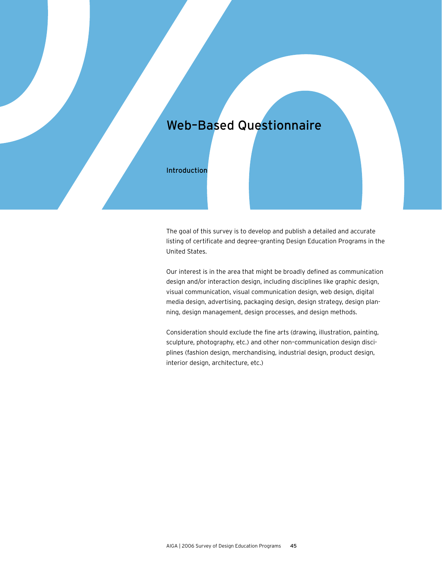Introduction

The goal of this survey is to develop and publish a detailed and accurate listing of certificate and degree–granting Design Education Programs in the United States.

Our interest is in the area that might be broadly defined as communication design and/or interaction design, including disciplines like graphic design, visual communication, visual communication design, web design, digital media design, advertising, packaging design, design strategy, design planning, design management, design processes, and design methods.

Consideration should exclude the fine arts (drawing, illustration, painting, sculpture, photography, etc.) and other non–communication design disciplines (fashion design, merchandising, industrial design, product design, interior design, architecture, etc.)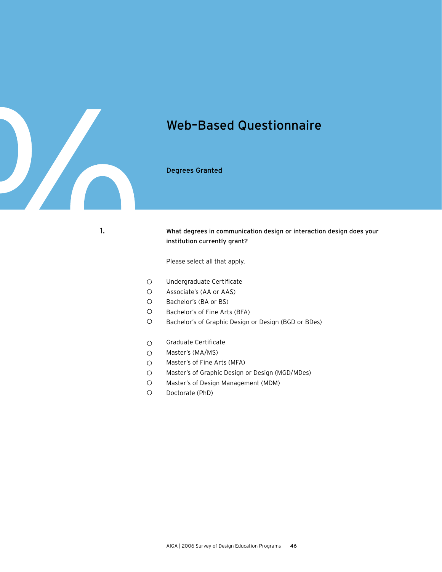

Degrees Granted

What degrees in communication design or interaction design does your institution currently grant?

Please select all that apply.

- $\bigcirc$ Undergraduate Certificate
- $\circ$ Associate's (AA or AAS)
- $\circ$ Bachelor's (BA or BS)
- $\circ$ Bachelor's of Fine Arts (BFA)
- $\bigcirc$ Bachelor's of Graphic Design or Design (BGD or BDes)
- Graduate Certificate  $\circ$
- $\circ$ Master's (MA/MS)
- $\circ$ Master's of Fine Arts (MFA)
- $\circ$ Master's of Graphic Design or Design (MGD/MDes)
- Master's of Design Management (MDM)  $\circ$
- $\circ$ Doctorate (PhD)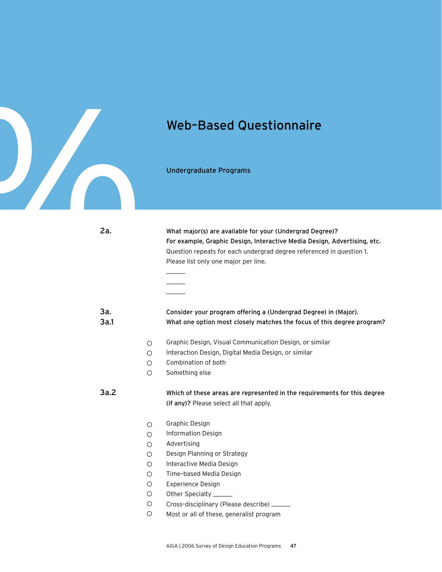

2a.

#### Web–Based Questionnaire

What major(s) are available for your (Undergrad Degree)?

For example, Graphic Design, Interactive Media Design, Advertising, etc.

Undergraduate Programs

Question repeats for each undergrad degree referenced in question 1. Please list only one major per line. 3a. Consider your program offering a (Undergrad Degree) in (Major). 3a.1 What one option most closely matches the focus of this degree program? Graphic Design, Visual Communication Design, or similar  $\circ$  $\circ$ Interaction Design, Digital Media Design, or similar Combination of both  $\bigcirc$  $\bigcirc$ Something else 3a.2Which of these areas are represented in the requirements for this degree (if any)? Please select all that apply. Graphic Design  $\circ$ Information Design  $\circ$  $\circ$ Advertising  $\circ$ Design Planning or Strategy  $\circ$ Interactive Media Design Time–based Media Design  $\circ$  $\circ$ Experience Design  $\circ$ Other Specialty  $\circ$ Cross–disciplinary (Please describe)  $\circ$ Most or all of these, generalist program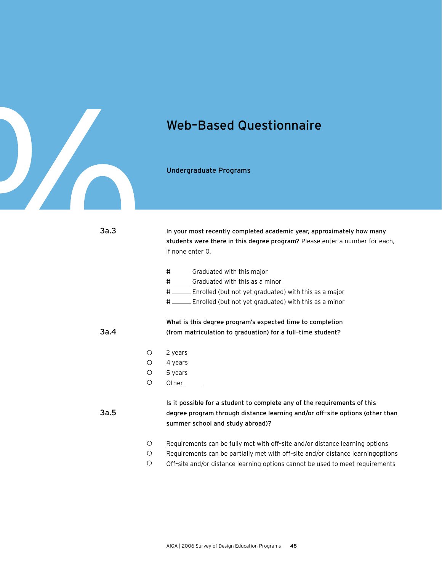

Undergraduate Programs

| 3a.3 |            | In your most recently completed academic year, approximately how many<br>students were there in this degree program? Please enter a number for each,<br>if none enter 0.                     |
|------|------------|----------------------------------------------------------------------------------------------------------------------------------------------------------------------------------------------|
|      |            | # ______ Graduated with this major                                                                                                                                                           |
|      |            | # _______ Graduated with this as a minor                                                                                                                                                     |
|      |            | # _____ Enrolled (but not yet graduated) with this as a major                                                                                                                                |
|      |            | # _____ Enrolled (but not yet graduated) with this as a minor                                                                                                                                |
|      |            | What is this degree program's expected time to completion                                                                                                                                    |
| 3a.4 |            | (from matriculation to graduation) for a full-time student?                                                                                                                                  |
|      |            |                                                                                                                                                                                              |
|      | $\circ$    | 2 years                                                                                                                                                                                      |
|      | $\bigcirc$ | 4 years                                                                                                                                                                                      |
|      | $\circ$    | 5 years                                                                                                                                                                                      |
|      | $\bigcirc$ | Other $\_\_$                                                                                                                                                                                 |
| 3a.5 |            | Is it possible for a student to complete any of the requirements of this<br>degree program through distance learning and/or off-site options (other than<br>summer school and study abroad)? |
|      | $\circ$    | Requirements can be fully met with off-site and/or distance learning options                                                                                                                 |
|      | $\circ$    | Requirements can be partially met with off-site and/or distance learningoptions                                                                                                              |
|      | $\circ$    | Off-site and/or distance learning options cannot be used to meet requirements                                                                                                                |
|      |            |                                                                                                                                                                                              |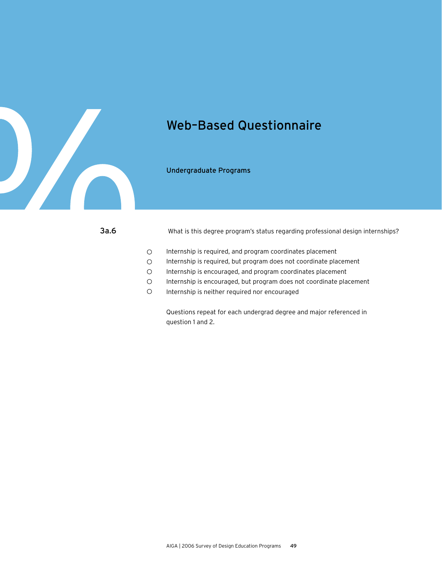

Undergraduate Programs

What is this degree program's status regarding professional design internships?

- $\circ$ Internship is required, and program coordinates placement
- $\circ$ Internship is required, but program does not coordinate placement
- $\circ$ Internship is encouraged, and program coordinates placement
- $\circ$ Internship is encouraged, but program does not coordinate placement
- $\circ$ Internship is neither required nor encouraged

Questions repeat for each undergrad degree and major referenced in question 1 and 2.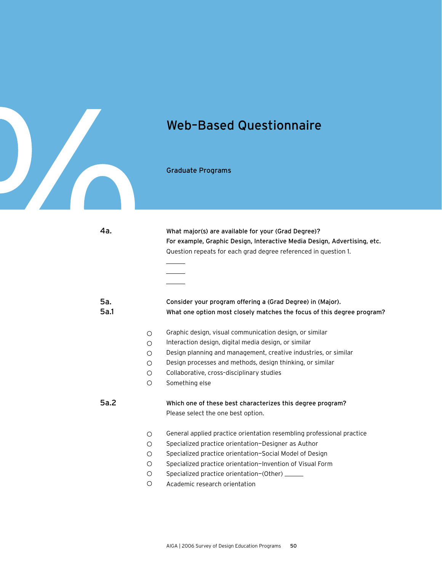

4a.

#### Web–Based Questionnaire

Graduate Programs

What major(s) are available for your (Grad Degree)? For example, Graphic Design, Interactive Media Design, Advertising, etc. Question repeats for each grad degree referenced in question 1.

#### Consider your program offering a (Grad Degree) in (Major). What one option most closely matches the focus of this degree program? 5a. 5a.1

- Graphic design, visual communication design, or similar  $\circ$
- Interaction design, digital media design, or similar  $\circ$
- $\circ$ Design planning and management, creative industries, or similar
- Design processes and methods, design thinking, or similar  $\circ$
- $\circ$ Collaborative, cross–disciplinary studies
- $\circ$ Something else

#### Which one of these best characterizes this degree program? Please select the one best option. 5a.2

- General applied practice orientation resembling professional practice  $\circ$
- Specialized practice orientation—Designer as Author  $\circ$
- $\circ$ Specialized practice orientation—Social Model of Design
- $\circ$ Specialized practice orientation—Invention of Visual Form
- $\bigcirc$ Specialized practice orientation-(Other) \_\_\_
- $\circ$ Academic research orientation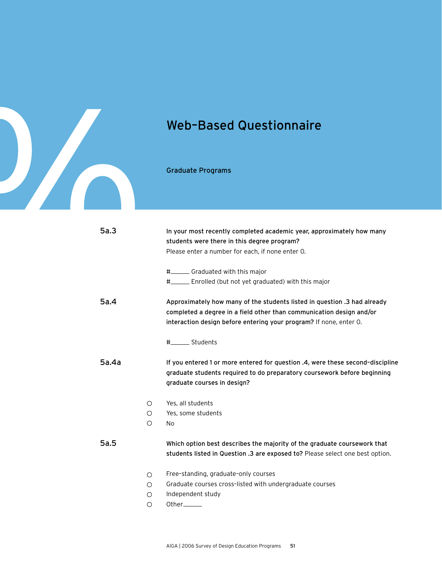

Graduate Programs

| 5a.3  |            | In your most recently completed academic year, approximately how many<br>students were there in this degree program?<br>Please enter a number for each, if none enter 0.                                               |
|-------|------------|------------------------------------------------------------------------------------------------------------------------------------------------------------------------------------------------------------------------|
|       |            | #________ Graduated with this major                                                                                                                                                                                    |
|       |            | #_______ Enrolled (but not yet graduated) with this major                                                                                                                                                              |
| 5a.4  |            | Approximately how many of the students listed in question .3 had already<br>completed a degree in a field other than communication design and/or<br>interaction design before entering your program? If none, enter O. |
|       |            | #_______ Students                                                                                                                                                                                                      |
| 5a.4a |            | If you entered 1 or more entered for question .4, were these second-discipline<br>graduate students required to do preparatory coursework before beginning<br>graduate courses in design?                              |
|       | $\circ$    | Yes, all students                                                                                                                                                                                                      |
|       | $\circ$    | Yes, some students                                                                                                                                                                                                     |
|       | $\bigcirc$ | No                                                                                                                                                                                                                     |
| 5a.5  |            | Which option best describes the majority of the graduate coursework that<br>students listed in Question .3 are exposed to? Please select one best option.                                                              |
|       | $\bigcirc$ | Free-standing, graduate-only courses                                                                                                                                                                                   |
|       | ∩          | Graduate courses cross-listed with undergraduate courses                                                                                                                                                               |
|       | ∩          | Independent study                                                                                                                                                                                                      |
|       | $\circ$    |                                                                                                                                                                                                                        |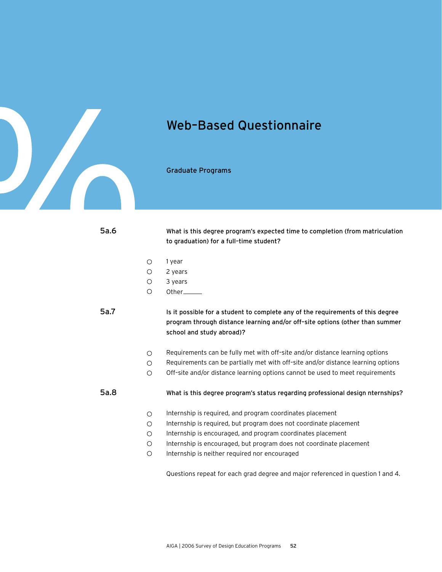

Graduate Programs

5a.6

What is this degree program's expected time to completion (from matriculation to graduation) for a full–time student?

- 1 year  $\circ$
- $\circ$ 2 years
- $\circ$ 3 years
- $\circ$ Other

5a.7

Is it possible for a student to complete any of the requirements of this degree program through distance learning and/or off–site options (other than summer school and study abroad)?

- $\circ$ Requirements can be fully met with off–site and/or distance learning options
- Requirements can be partially met with off–site and/or distance learning options  $\circ$
- $\circ$ Off–site and/or distance learning options cannot be used to meet requirements

5a.8

What is this degree program's status regarding professional design nternships?

- $\circ$ Internship is required, and program coordinates placement
- Internship is required, but program does not coordinate placement  $\circ$
- Internship is encouraged, and program coordinates placement  $\bigcirc$
- Internship is encouraged, but program does not coordinate placement  $\circ$
- $\circ$ Internship is neither required nor encouraged

Questions repeat for each grad degree and major referenced in question 1 and 4.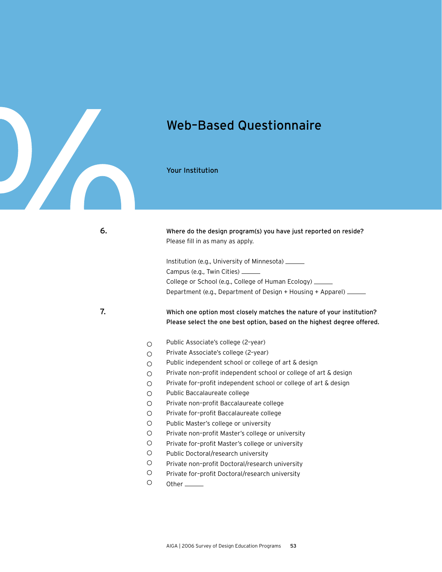

Your Institution

6.

#### Where do the design program(s) you have just reported on reside? Please fill in as many as apply.

Institution (e.g., University of Minnesota) Campus (e.g., Twin Cities) College or School (e.g., College of Human Ecology) Department (e.g., Department of Design + Housing + Apparel)

7.

Which one option most closely matches the nature of your institution? Please select the one best option, based on the highest degree offered.

- Public Associate's college (2–year)  $\circ$
- Private Associate's college (2–year)  $\circ$
- Public independent school or college of art & design  $\circ$
- Private non–profit independent school or college of art & design  $\circ$
- Private for–profit independent school or college of art & design  $\bigcirc$
- $\circ$ Public Baccalaureate college
- $\circ$ Private non–profit Baccalaureate college
- Private for–profit Baccalaureate college  $\bigcirc$
- $\circ$ Public Master's college or university
- $\circ$ Private non–profit Master's college or university
- $\circ$ Private for–profit Master's college or university
- $\bigcirc$ Public Doctoral/research university
- $\circ$ Private non–profit Doctoral/research university
- $\circ$ Private for–profit Doctoral/research university
- $\circ$ Other<sub>\_\_\_\_\_</sub>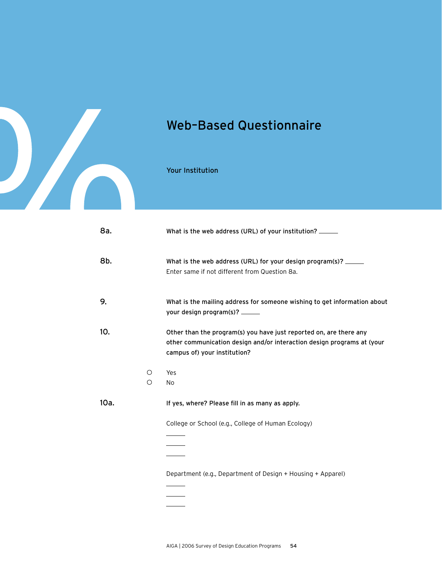

Your Institution

| 8a.  |         | What is the web address (URL) of your institution? ______                                                                                                                    |
|------|---------|------------------------------------------------------------------------------------------------------------------------------------------------------------------------------|
| 8b.  |         | What is the web address (URL) for your design program(s)? ______<br>Enter same if not different from Question 8a.                                                            |
| 9.   |         | What is the mailing address for someone wishing to get information about<br>your design program(s)? ______                                                                   |
| 10.  |         | Other than the program(s) you have just reported on, are there any<br>other communication design and/or interaction design programs at (your<br>campus of) your institution? |
|      | O       | Yes                                                                                                                                                                          |
|      | $\circ$ | No                                                                                                                                                                           |
| 10a. |         | If yes, where? Please fill in as many as apply.                                                                                                                              |
|      |         | College or School (e.g., College of Human Ecology)                                                                                                                           |
|      |         |                                                                                                                                                                              |
|      |         |                                                                                                                                                                              |
|      |         | Department (e.g., Department of Design + Housing + Apparel)                                                                                                                  |
|      |         |                                                                                                                                                                              |
|      |         |                                                                                                                                                                              |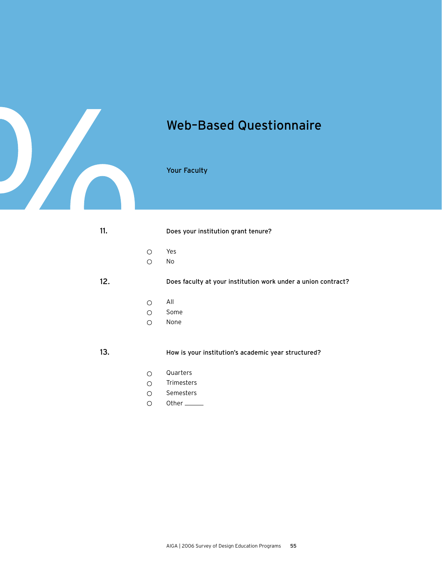

#### Your Faculty

| 11. |            | Does your institution grant tenure?                           |
|-----|------------|---------------------------------------------------------------|
|     | ◯          | Yes                                                           |
|     | ∩          | No                                                            |
| 12. |            | Does faculty at your institution work under a union contract? |
|     | ◯          | All                                                           |
|     | ∩          | Some                                                          |
|     | ∩          | None                                                          |
| 13. |            | How is your institution's academic year structured?           |
|     | $\bigcirc$ | Quarters                                                      |
|     | ∩          | Trimesters                                                    |
|     | ∩          | Semesters                                                     |

Other<sub>\_\_\_\_\_</sub>  $\circ$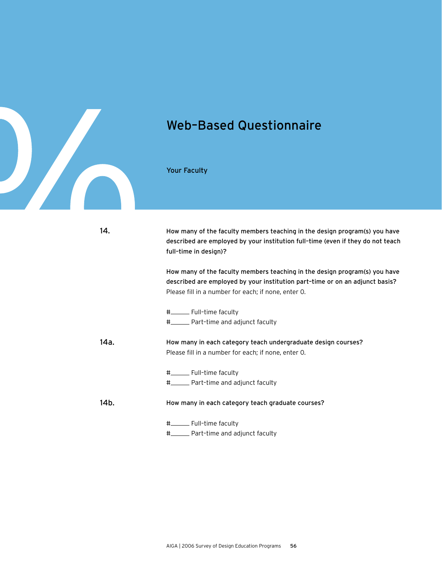

Your Faculty

| 14.  | How many of the faculty members teaching in the design program(s) you have<br>described are employed by your institution full-time (even if they do not teach<br>full-time in design)?                            |
|------|-------------------------------------------------------------------------------------------------------------------------------------------------------------------------------------------------------------------|
|      | How many of the faculty members teaching in the design program(s) you have<br>described are employed by your institution part-time or on an adjunct basis?<br>Please fill in a number for each; if none, enter O. |
|      | #__________ Full-time faculty                                                                                                                                                                                     |
|      | #_______ Part-time and adjunct faculty                                                                                                                                                                            |
| 14a. | How many in each category teach undergraduate design courses?<br>Please fill in a number for each; if none, enter 0.                                                                                              |
|      | #__________ Full-time faculty                                                                                                                                                                                     |
|      | #_______ Part-time and adjunct faculty                                                                                                                                                                            |
| 14b. | How many in each category teach graduate courses?                                                                                                                                                                 |
|      | #_________ Full-time faculty                                                                                                                                                                                      |
|      | #_______ Part-time and adjunct faculty                                                                                                                                                                            |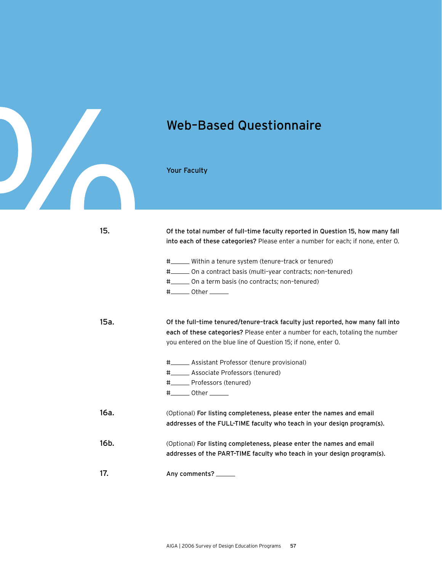

Your Faculty

| 15.  | Of the total number of full-time faculty reported in Question 15, how many fall<br>into each of these categories? Please enter a number for each; if none, enter 0.                                                                     |
|------|-----------------------------------------------------------------------------------------------------------------------------------------------------------------------------------------------------------------------------------------|
|      | #______ Within a tenure system (tenure-track or tenured)<br>#_______ On a contract basis (multi-year contracts; non-tenured)<br>#_______ On a term basis (no contracts; non-tenured)<br>$\texttt{#}\_\_\_\_\$ Other $\_\_\_\_\_\_\_\_\$ |
| 15a. | Of the full-time tenured/tenure-track faculty just reported, how many fall into<br>each of these categories? Please enter a number for each, totaling the number<br>you entered on the blue line of Question 15; if none, enter O.      |
|      | #________ Assistant Professor (tenure provisional)                                                                                                                                                                                      |
|      | #_______ Associate Professors (tenured)                                                                                                                                                                                                 |
|      | #________ Professors (tenured)                                                                                                                                                                                                          |
|      | $\frac{+}{+}$ Other ________                                                                                                                                                                                                            |
| 16a. | (Optional) For listing completeness, please enter the names and email<br>addresses of the FULL-TIME faculty who teach in your design program(s).                                                                                        |
| 16b. | (Optional) For listing completeness, please enter the names and email<br>addresses of the PART-TIME faculty who teach in your design program(s).                                                                                        |
| 17.  | Any comments? _                                                                                                                                                                                                                         |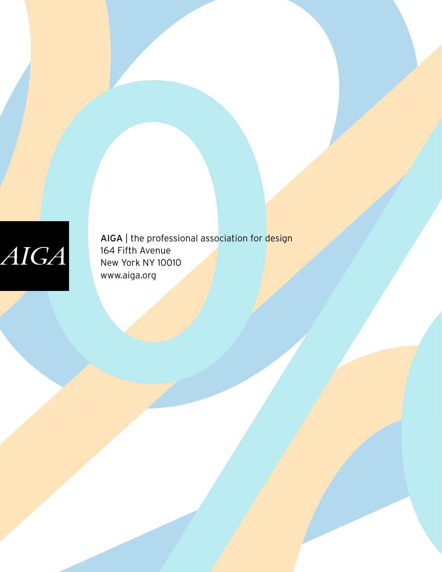# $AIGA$

AIGA | the professional association for design 164 Fifth Avenue New York NY 10010 www.aiga.org